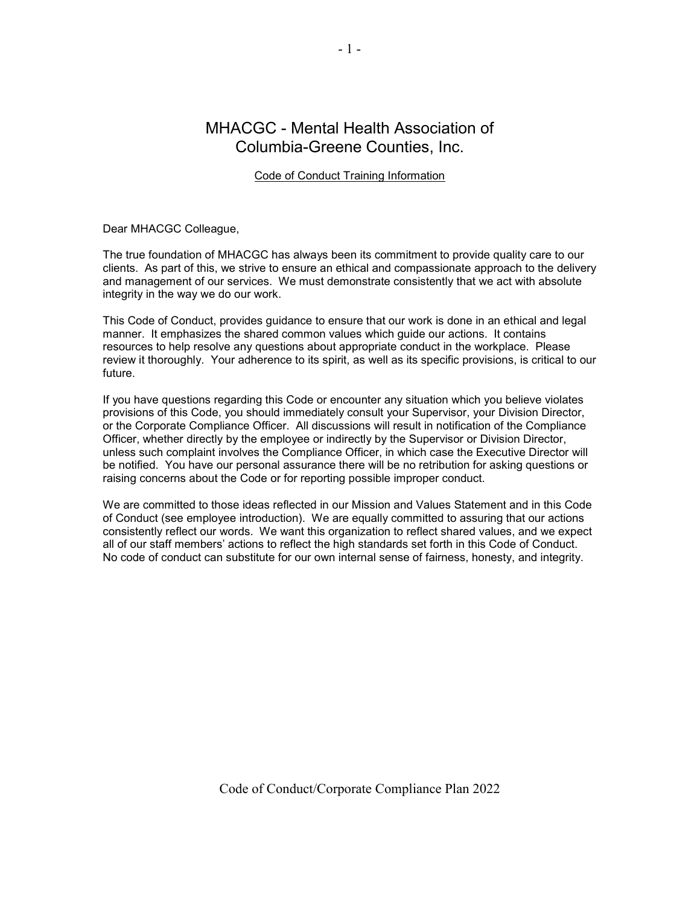# MHACGC - Mental Health Association of Columbia-Greene Counties, Inc.

# Code of Conduct Training Information

Dear MHACGC Colleague,

The true foundation of MHACGC has always been its commitment to provide quality care to our clients. As part of this, we strive to ensure an ethical and compassionate approach to the delivery and management of our services. We must demonstrate consistently that we act with absolute integrity in the way we do our work.

This Code of Conduct, provides guidance to ensure that our work is done in an ethical and legal manner. It emphasizes the shared common values which guide our actions. It contains resources to help resolve any questions about appropriate conduct in the workplace. Please review it thoroughly. Your adherence to its spirit, as well as its specific provisions, is critical to our future.

If you have questions regarding this Code or encounter any situation which you believe violates provisions of this Code, you should immediately consult your Supervisor, your Division Director, or the Corporate Compliance Officer. All discussions will result in notification of the Compliance Officer, whether directly by the employee or indirectly by the Supervisor or Division Director, unless such complaint involves the Compliance Officer, in which case the Executive Director will be notified. You have our personal assurance there will be no retribution for asking questions or raising concerns about the Code or for reporting possible improper conduct.

We are committed to those ideas reflected in our Mission and Values Statement and in this Code of Conduct (see employee introduction). We are equally committed to assuring that our actions consistently reflect our words. We want this organization to reflect shared values, and we expect all of our staff members' actions to reflect the high standards set forth in this Code of Conduct. No code of conduct can substitute for our own internal sense of fairness, honesty, and integrity.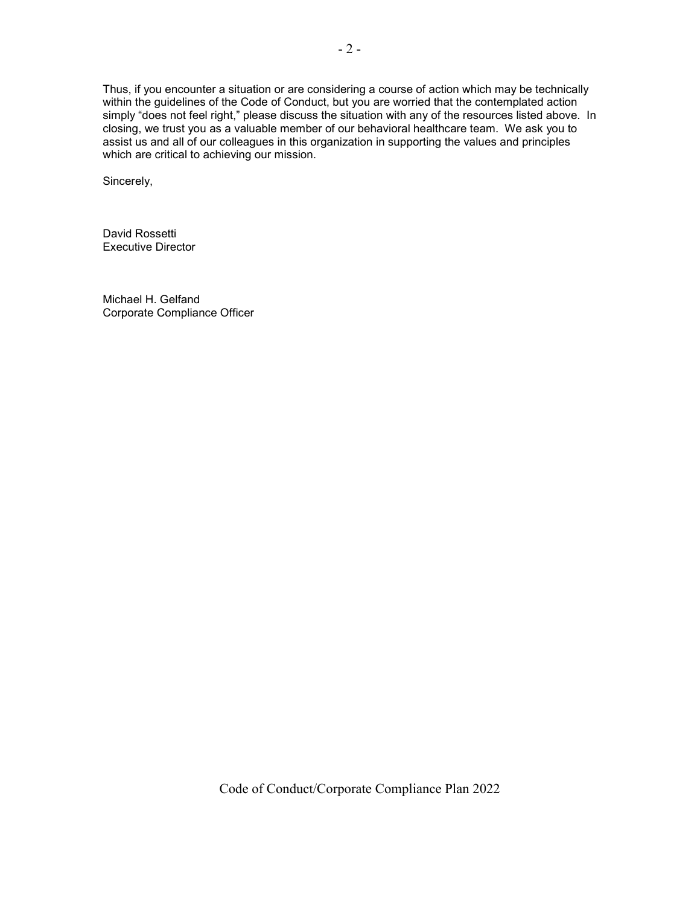Thus, if you encounter a situation or are considering a course of action which may be technically within the guidelines of the Code of Conduct, but you are worried that the contemplated action simply "does not feel right," please discuss the situation with any of the resources listed above. In closing, we trust you as a valuable member of our behavioral healthcare team. We ask you to assist us and all of our colleagues in this organization in supporting the values and principles which are critical to achieving our mission.

Sincerely,

David Rossetti Executive Director

Michael H. Gelfand Corporate Compliance Officer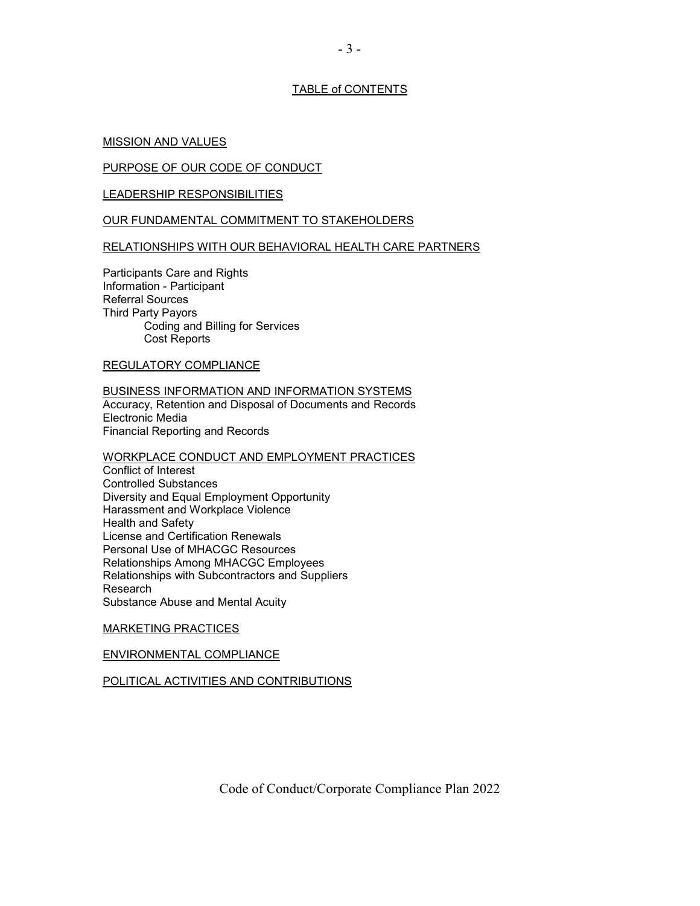# TABLE of CONTENTS

#### MISSION AND VALUES

#### PURPOSE OF OUR CODE OF CONDUCT

#### LEADERSHIP RESPONSIBILITIES

#### OUR FUNDAMENTAL COMMITMENT TO STAKEHOLDERS

### RELATIONSHIPS WITH OUR BEHAVIORAL HEALTH CARE PARTNERS

Participants Care and Rights Information - Participant Referral Sources Third Party Payors Coding and Billing for Services Cost Reports

#### REGULATORY COMPLIANCE

#### BUSINESS INFORMATION AND INFORMATION SYSTEMS Accuracy, Retention and Disposal of Documents and Records Electronic Media Financial Reporting and Records

#### WORKPLACE CONDUCT AND EMPLOYMENT PRACTICES

Conflict of Interest Controlled Substances Diversity and Equal Employment Opportunity Harassment and Workplace Violence Health and Safety License and Certification Renewals Personal Use of MHACGC Resources Relationships Among MHACGC Employees Relationships with Subcontractors and Suppliers Research Substance Abuse and Mental Acuity

#### MARKETING PRACTICES

### ENVIRONMENTAL COMPLIANCE

### POLITICAL ACTIVITIES AND CONTRIBUTIONS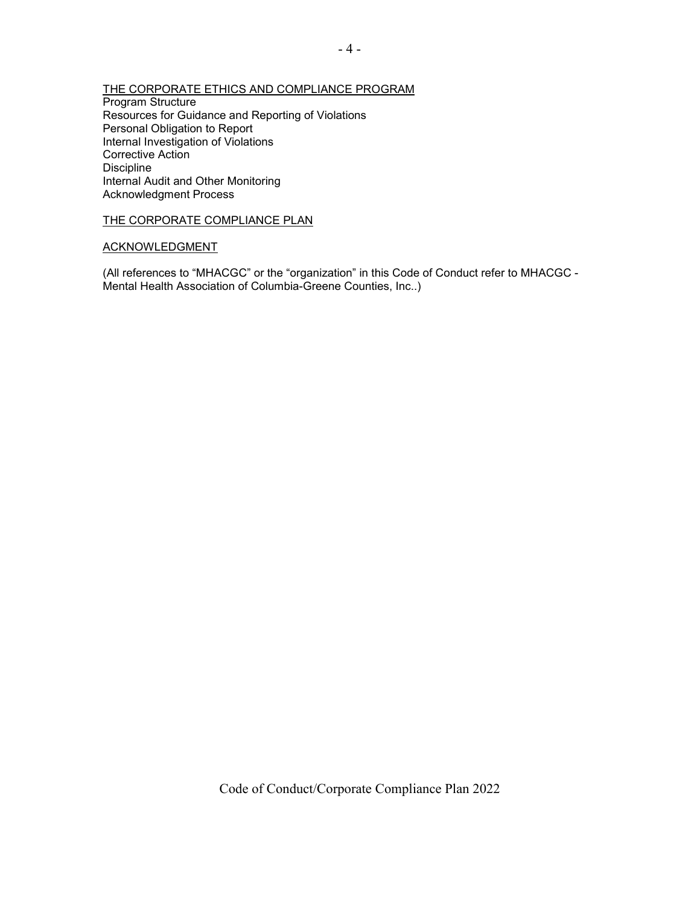### THE CORPORATE ETHICS AND COMPLIANCE PROGRAM

Program Structure Resources for Guidance and Reporting of Violations Personal Obligation to Report Internal Investigation of Violations Corrective Action Discipline Internal Audit and Other Monitoring Acknowledgment Process

#### THE CORPORATE COMPLIANCE PLAN

#### ACKNOWLEDGMENT

(All references to "MHACGC" or the "organization" in this Code of Conduct refer to MHACGC - Mental Health Association of Columbia-Greene Counties, Inc..)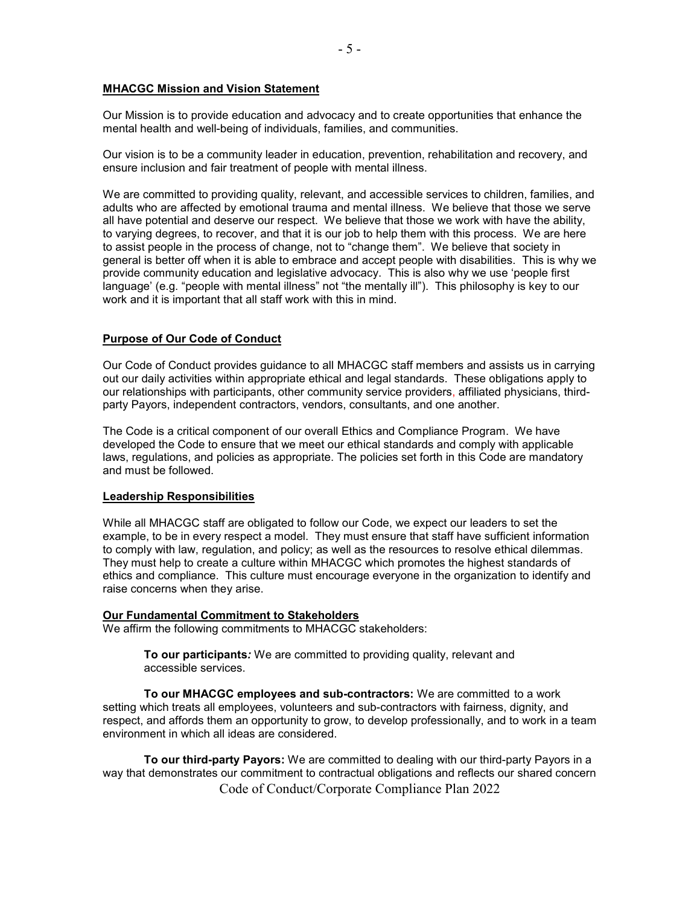# **MHACGC Mission and Vision Statement**

Our Mission is to provide education and advocacy and to create opportunities that enhance the mental health and well-being of individuals, families, and communities.

Our vision is to be a community leader in education, prevention, rehabilitation and recovery, and ensure inclusion and fair treatment of people with mental illness.

We are committed to providing quality, relevant, and accessible services to children, families, and adults who are affected by emotional trauma and mental illness. We believe that those we serve all have potential and deserve our respect. We believe that those we work with have the ability, to varying degrees, to recover, and that it is our job to help them with this process. We are here to assist people in the process of change, not to "change them". We believe that society in general is better off when it is able to embrace and accept people with disabilities. This is why we provide community education and legislative advocacy. This is also why we use 'people first language' (e.g. "people with mental illness" not "the mentally ill"). This philosophy is key to our work and it is important that all staff work with this in mind.

### **Purpose of Our Code of Conduct**

Our Code of Conduct provides guidance to all MHACGC staff members and assists us in carrying out our daily activities within appropriate ethical and legal standards. These obligations apply to our relationships with participants, other community service providers, affiliated physicians, thirdparty Payors, independent contractors, vendors, consultants, and one another.

The Code is a critical component of our overall Ethics and Compliance Program. We have developed the Code to ensure that we meet our ethical standards and comply with applicable laws, regulations, and policies as appropriate. The policies set forth in this Code are mandatory and must be followed.

### **Leadership Responsibilities**

While all MHACGC staff are obligated to follow our Code, we expect our leaders to set the example, to be in every respect a model. They must ensure that staff have sufficient information to comply with law, regulation, and policy; as well as the resources to resolve ethical dilemmas. They must help to create a culture within MHACGC which promotes the highest standards of ethics and compliance. This culture must encourage everyone in the organization to identify and raise concerns when they arise.

#### **Our Fundamental Commitment to Stakeholders**

We affirm the following commitments to MHACGC stakeholders:

**To our participants***:* We are committed to providing quality, relevant and accessible services.

**To our MHACGC employees and sub-contractors:** We are committed to a work setting which treats all employees, volunteers and sub-contractors with fairness, dignity, and respect, and affords them an opportunity to grow, to develop professionally, and to work in a team environment in which all ideas are considered.

 Code of Conduct/Corporate Compliance Plan 2022 **To our third-party Payors:** We are committed to dealing with our third-party Payors in a way that demonstrates our commitment to contractual obligations and reflects our shared concern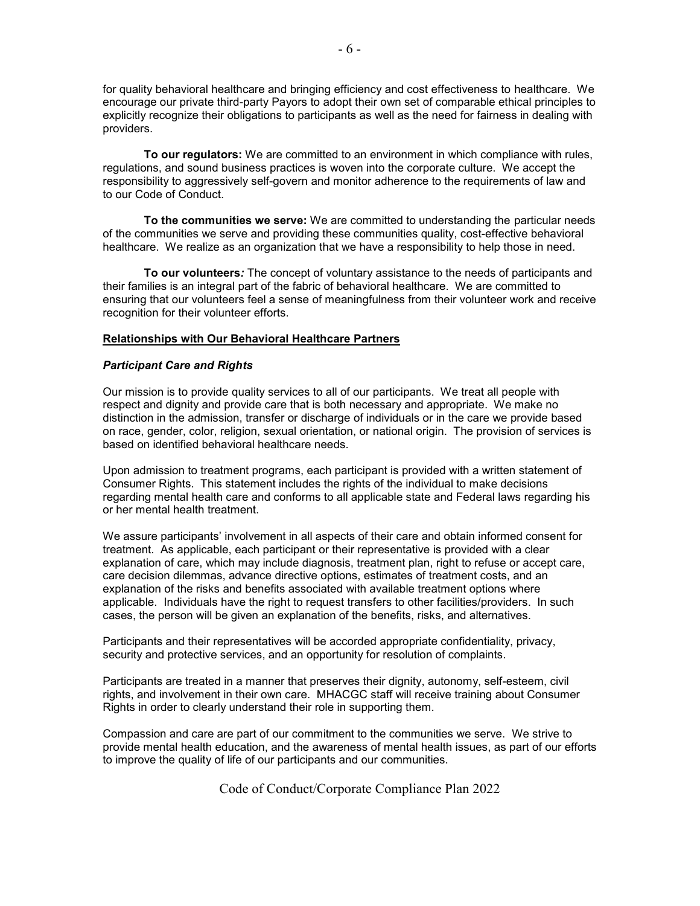for quality behavioral healthcare and bringing efficiency and cost effectiveness to healthcare. We encourage our private third-party Payors to adopt their own set of comparable ethical principles to explicitly recognize their obligations to participants as well as the need for fairness in dealing with providers.

**To our regulators:** We are committed to an environment in which compliance with rules, regulations, and sound business practices is woven into the corporate culture. We accept the responsibility to aggressively self-govern and monitor adherence to the requirements of law and to our Code of Conduct.

**To the communities we serve:** We are committed to understanding the particular needs of the communities we serve and providing these communities quality, cost-effective behavioral healthcare. We realize as an organization that we have a responsibility to help those in need.

**To our volunteers***:* The concept of voluntary assistance to the needs of participants and their families is an integral part of the fabric of behavioral healthcare. We are committed to ensuring that our volunteers feel a sense of meaningfulness from their volunteer work and receive recognition for their volunteer efforts.

### **Relationships with Our Behavioral Healthcare Partners**

#### *Participant Care and Rights*

Our mission is to provide quality services to all of our participants. We treat all people with respect and dignity and provide care that is both necessary and appropriate. We make no distinction in the admission, transfer or discharge of individuals or in the care we provide based on race, gender, color, religion, sexual orientation, or national origin. The provision of services is based on identified behavioral healthcare needs.

Upon admission to treatment programs, each participant is provided with a written statement of Consumer Rights. This statement includes the rights of the individual to make decisions regarding mental health care and conforms to all applicable state and Federal laws regarding his or her mental health treatment.

We assure participants' involvement in all aspects of their care and obtain informed consent for treatment. As applicable, each participant or their representative is provided with a clear explanation of care, which may include diagnosis, treatment plan, right to refuse or accept care, care decision dilemmas, advance directive options, estimates of treatment costs, and an explanation of the risks and benefits associated with available treatment options where applicable. Individuals have the right to request transfers to other facilities/providers. In such cases, the person will be given an explanation of the benefits, risks, and alternatives.

Participants and their representatives will be accorded appropriate confidentiality, privacy, security and protective services, and an opportunity for resolution of complaints.

Participants are treated in a manner that preserves their dignity, autonomy, self-esteem, civil rights, and involvement in their own care. MHACGC staff will receive training about Consumer Rights in order to clearly understand their role in supporting them.

Compassion and care are part of our commitment to the communities we serve. We strive to provide mental health education, and the awareness of mental health issues, as part of our efforts to improve the quality of life of our participants and our communities.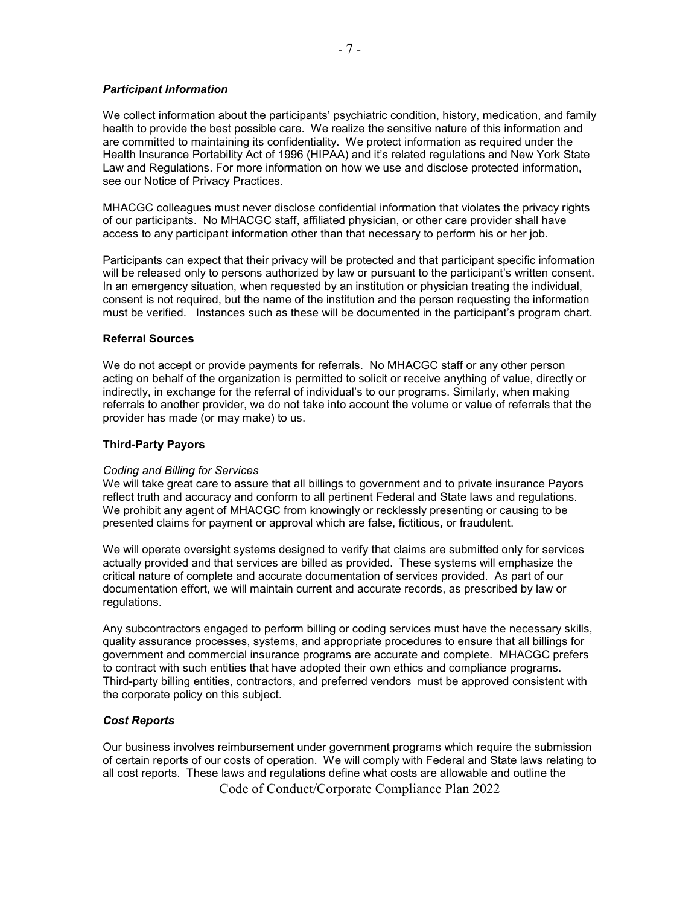# *Participant Information*

We collect information about the participants' psychiatric condition, history, medication, and family health to provide the best possible care. We realize the sensitive nature of this information and are committed to maintaining its confidentiality. We protect information as required under the Health Insurance Portability Act of 1996 (HIPAA) and it's related regulations and New York State Law and Regulations. For more information on how we use and disclose protected information, see our Notice of Privacy Practices.

MHACGC colleagues must never disclose confidential information that violates the privacy rights of our participants. No MHACGC staff, affiliated physician, or other care provider shall have access to any participant information other than that necessary to perform his or her job.

Participants can expect that their privacy will be protected and that participant specific information will be released only to persons authorized by law or pursuant to the participant's written consent. In an emergency situation, when requested by an institution or physician treating the individual, consent is not required, but the name of the institution and the person requesting the information must be verified.Instances such as these will be documented in the participant's program chart.

### **Referral Sources**

We do not accept or provide payments for referrals. No MHACGC staff or any other person acting on behalf of the organization is permitted to solicit or receive anything of value, directly or indirectly, in exchange for the referral of individual's to our programs. Similarly, when making referrals to another provider, we do not take into account the volume or value of referrals that the provider has made (or may make) to us.

### **Third-Party Payors**

### *Coding and Billing for Services*

We will take great care to assure that all billings to government and to private insurance Payors reflect truth and accuracy and conform to all pertinent Federal and State laws and regulations. We prohibit any agent of MHACGC from knowingly or recklessly presenting or causing to be presented claims for payment or approval which are false, fictitious*,* or fraudulent.

We will operate oversight systems designed to verify that claims are submitted only for services actually provided and that services are billed as provided. These systems will emphasize the critical nature of complete and accurate documentation of services provided. As part of our documentation effort, we will maintain current and accurate records, as prescribed by law or regulations.

Any subcontractors engaged to perform billing or coding services must have the necessary skills, quality assurance processes, systems, and appropriate procedures to ensure that all billings for government and commercial insurance programs are accurate and complete. MHACGC prefers to contract with such entities that have adopted their own ethics and compliance programs. Third-party billing entities, contractors, and preferred vendors must be approved consistent with the corporate policy on this subject.

# *Cost Reports*

Our business involves reimbursement under government programs which require the submission of certain reports of our costs of operation. We will comply with Federal and State laws relating to all cost reports. These laws and regulations define what costs are allowable and outline the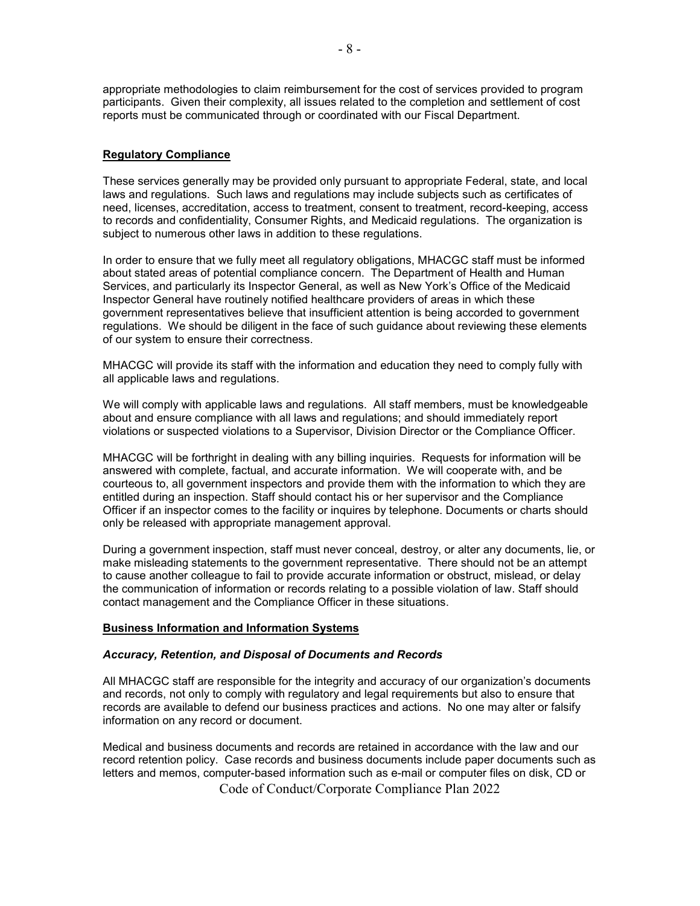appropriate methodologies to claim reimbursement for the cost of services provided to program participants. Given their complexity, all issues related to the completion and settlement of cost reports must be communicated through or coordinated with our Fiscal Department.

# **Regulatory Compliance**

These services generally may be provided only pursuant to appropriate Federal, state, and local laws and regulations. Such laws and regulations may include subjects such as certificates of need, licenses, accreditation, access to treatment, consent to treatment, record-keeping, access to records and confidentiality, Consumer Rights, and Medicaid regulations. The organization is subject to numerous other laws in addition to these regulations.

In order to ensure that we fully meet all regulatory obligations, MHACGC staff must be informed about stated areas of potential compliance concern. The Department of Health and Human Services, and particularly its Inspector General, as well as New York's Office of the Medicaid Inspector General have routinely notified healthcare providers of areas in which these government representatives believe that insufficient attention is being accorded to government regulations. We should be diligent in the face of such guidance about reviewing these elements of our system to ensure their correctness.

MHACGC will provide its staff with the information and education they need to comply fully with all applicable laws and regulations.

We will comply with applicable laws and regulations. All staff members, must be knowledgeable about and ensure compliance with all laws and regulations; and should immediately report violations or suspected violations to a Supervisor, Division Director or the Compliance Officer.

MHACGC will be forthright in dealing with any billing inquiries. Requests for information will be answered with complete, factual, and accurate information. We will cooperate with, and be courteous to, all government inspectors and provide them with the information to which they are entitled during an inspection. Staff should contact his or her supervisor and the Compliance Officer if an inspector comes to the facility or inquires by telephone. Documents or charts should only be released with appropriate management approval.

During a government inspection, staff must never conceal, destroy, or alter any documents, lie, or make misleading statements to the government representative. There should not be an attempt to cause another colleague to fail to provide accurate information or obstruct, mislead, or delay the communication of information or records relating to a possible violation of law. Staff should contact management and the Compliance Officer in these situations.

### **Business Information and Information Systems**

### *Accuracy, Retention, and Disposal of Documents and Records*

All MHACGC staff are responsible for the integrity and accuracy of our organization's documents and records, not only to comply with regulatory and legal requirements but also to ensure that records are available to defend our business practices and actions. No one may alter or falsify information on any record or document.

 Code of Conduct/Corporate Compliance Plan 2022 Medical and business documents and records are retained in accordance with the law and our record retention policy. Case records and business documents include paper documents such as letters and memos, computer-based information such as e-mail or computer files on disk, CD or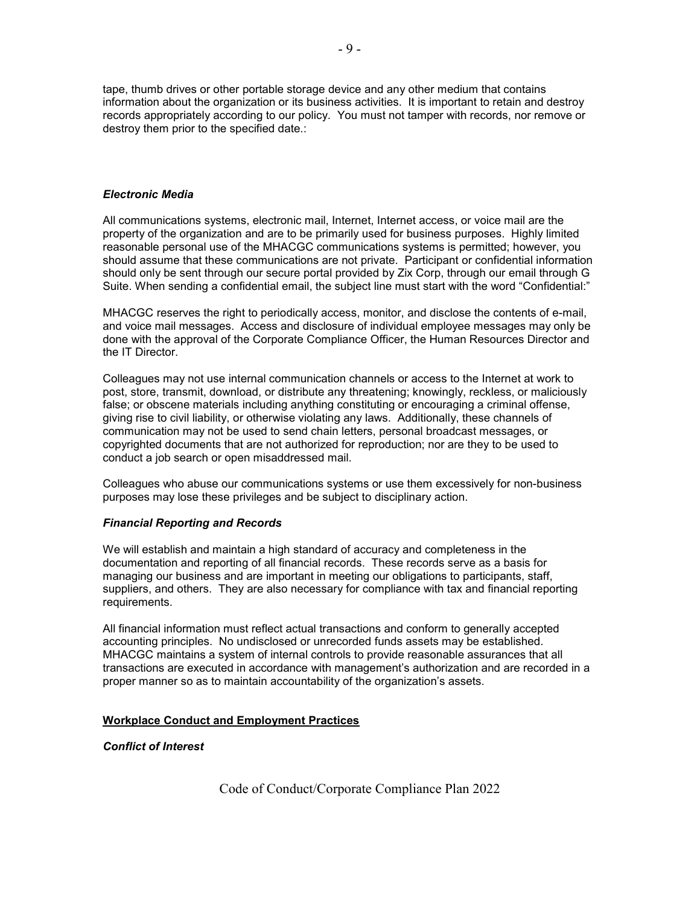tape, thumb drives or other portable storage device and any other medium that contains information about the organization or its business activities. It is important to retain and destroy records appropriately according to our policy. You must not tamper with records, nor remove or destroy them prior to the specified date.:

### *Electronic Media*

All communications systems, electronic mail, Internet, Internet access, or voice mail are the property of the organization and are to be primarily used for business purposes. Highly limited reasonable personal use of the MHACGC communications systems is permitted; however, you should assume that these communications are not private. Participant or confidential information should only be sent through our secure portal provided by Zix Corp, through our email through G Suite. When sending a confidential email, the subject line must start with the word "Confidential:"

MHACGC reserves the right to periodically access, monitor, and disclose the contents of e-mail, and voice mail messages. Access and disclosure of individual employee messages may only be done with the approval of the Corporate Compliance Officer, the Human Resources Director and the IT Director.

Colleagues may not use internal communication channels or access to the Internet at work to post, store, transmit, download, or distribute any threatening; knowingly, reckless, or maliciously false; or obscene materials including anything constituting or encouraging a criminal offense, giving rise to civil liability, or otherwise violating any laws. Additionally, these channels of communication may not be used to send chain letters, personal broadcast messages, or copyrighted documents that are not authorized for reproduction; nor are they to be used to conduct a job search or open misaddressed mail.

Colleagues who abuse our communications systems or use them excessively for non-business purposes may lose these privileges and be subject to disciplinary action.

### *Financial Reporting and Records*

We will establish and maintain a high standard of accuracy and completeness in the documentation and reporting of all financial records. These records serve as a basis for managing our business and are important in meeting our obligations to participants, staff, suppliers, and others. They are also necessary for compliance with tax and financial reporting requirements.

All financial information must reflect actual transactions and conform to generally accepted accounting principles. No undisclosed or unrecorded funds assets may be established. MHACGC maintains a system of internal controls to provide reasonable assurances that all transactions are executed in accordance with management's authorization and are recorded in a proper manner so as to maintain accountability of the organization's assets.

### **Workplace Conduct and Employment Practices**

*Conflict of Interest*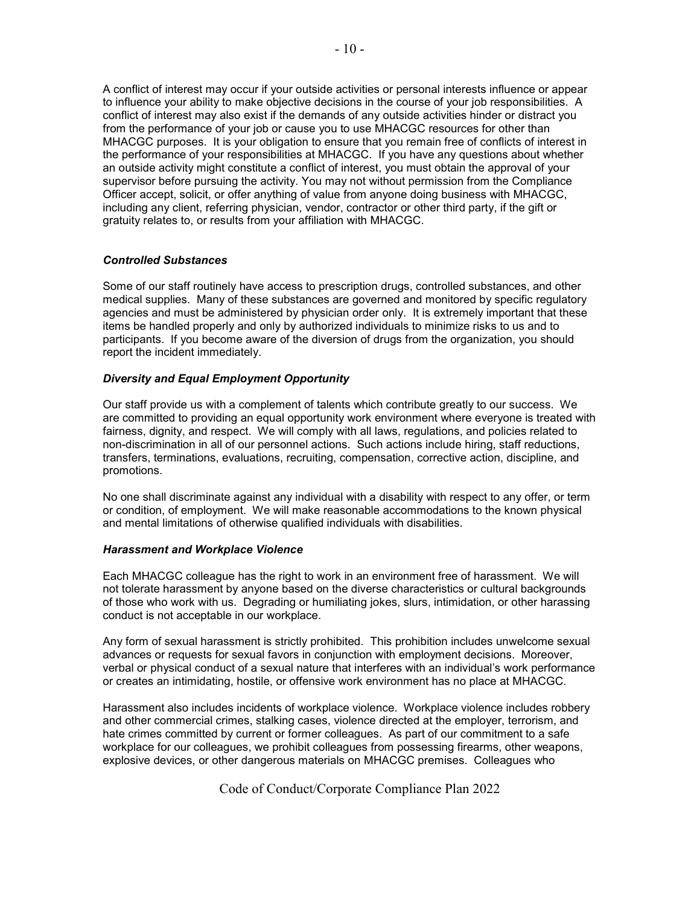A conflict of interest may occur if your outside activities or personal interests influence or appear to influence your ability to make objective decisions in the course of your job responsibilities. A conflict of interest may also exist if the demands of any outside activities hinder or distract you from the performance of your job or cause you to use MHACGC resources for other than MHACGC purposes. It is your obligation to ensure that you remain free of conflicts of interest in the performance of your responsibilities at MHACGC. If you have any questions about whether an outside activity might constitute a conflict of interest, you must obtain the approval of your supervisor before pursuing the activity. You may not without permission from the Compliance Officer accept, solicit, or offer anything of value from anyone doing business with MHACGC, including any client, referring physician, vendor, contractor or other third party, if the gift or gratuity relates to, or results from your affiliation with MHACGC.

### *Controlled Substances*

Some of our staff routinely have access to prescription drugs, controlled substances, and other medical supplies. Many of these substances are governed and monitored by specific regulatory agencies and must be administered by physician order only. It is extremely important that these items be handled properly and only by authorized individuals to minimize risks to us and to participants. If you become aware of the diversion of drugs from the organization, you should report the incident immediately.

### *Diversity and Equal Employment Opportunity*

Our staff provide us with a complement of talents which contribute greatly to our success. We are committed to providing an equal opportunity work environment where everyone is treated with fairness, dignity, and respect. We will comply with all laws, regulations, and policies related to non-discrimination in all of our personnel actions. Such actions include hiring, staff reductions, transfers, terminations, evaluations, recruiting, compensation, corrective action, discipline, and promotions.

No one shall discriminate against any individual with a disability with respect to any offer, or term or condition, of employment. We will make reasonable accommodations to the known physical and mental limitations of otherwise qualified individuals with disabilities.

### *Harassment and Workplace Violence*

Each MHACGC colleague has the right to work in an environment free of harassment. We will not tolerate harassment by anyone based on the diverse characteristics or cultural backgrounds of those who work with us. Degrading or humiliating jokes, slurs, intimidation, or other harassing conduct is not acceptable in our workplace.

Any form of sexual harassment is strictly prohibited. This prohibition includes unwelcome sexual advances or requests for sexual favors in conjunction with employment decisions. Moreover, verbal or physical conduct of a sexual nature that interferes with an individual's work performance or creates an intimidating, hostile, or offensive work environment has no place at MHACGC.

Harassment also includes incidents of workplace violence. Workplace violence includes robbery and other commercial crimes, stalking cases, violence directed at the employer, terrorism, and hate crimes committed by current or former colleagues. As part of our commitment to a safe workplace for our colleagues, we prohibit colleagues from possessing firearms, other weapons, explosive devices, or other dangerous materials on MHACGC premises. Colleagues who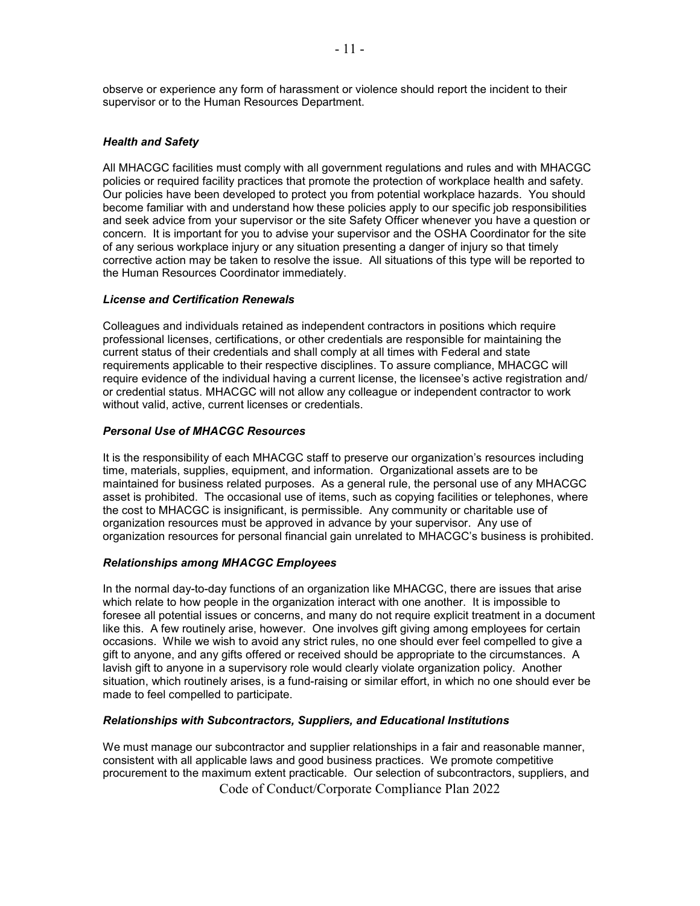observe or experience any form of harassment or violence should report the incident to their supervisor or to the Human Resources Department.

### *Health and Safety*

All MHACGC facilities must comply with all government regulations and rules and with MHACGC policies or required facility practices that promote the protection of workplace health and safety. Our policies have been developed to protect you from potential workplace hazards. You should become familiar with and understand how these policies apply to our specific job responsibilities and seek advice from your supervisor or the site Safety Officer whenever you have a question or concern. It is important for you to advise your supervisor and the OSHA Coordinator for the site of any serious workplace injury or any situation presenting a danger of injury so that timely corrective action may be taken to resolve the issue. All situations of this type will be reported to the Human Resources Coordinator immediately.

### *License and Certification Renewals*

Colleagues and individuals retained as independent contractors in positions which require professional licenses, certifications, or other credentials are responsible for maintaining the current status of their credentials and shall comply at all times with Federal and state requirements applicable to their respective disciplines. To assure compliance, MHACGC will require evidence of the individual having a current license, the licensee's active registration and/ or credential status. MHACGC will not allow any colleague or independent contractor to work without valid, active, current licenses or credentials.

### *Personal Use of MHACGC Resources*

It is the responsibility of each MHACGC staff to preserve our organization's resources including time, materials, supplies, equipment, and information. Organizational assets are to be maintained for business related purposes. As a general rule, the personal use of any MHACGC asset is prohibited. The occasional use of items, such as copying facilities or telephones, where the cost to MHACGC is insignificant, is permissible. Any community or charitable use of organization resources must be approved in advance by your supervisor. Any use of organization resources for personal financial gain unrelated to MHACGC's business is prohibited.

### *Relationships among MHACGC Employees*

In the normal day-to-day functions of an organization like MHACGC, there are issues that arise which relate to how people in the organization interact with one another. It is impossible to foresee all potential issues or concerns, and many do not require explicit treatment in a document like this. A few routinely arise, however. One involves gift giving among employees for certain occasions. While we wish to avoid any strict rules, no one should ever feel compelled to give a gift to anyone, and any gifts offered or received should be appropriate to the circumstances. A lavish gift to anyone in a supervisory role would clearly violate organization policy. Another situation, which routinely arises, is a fund-raising or similar effort, in which no one should ever be made to feel compelled to participate.

### *Relationships with Subcontractors, Suppliers, and Educational Institutions*

 Code of Conduct/Corporate Compliance Plan 2022 We must manage our subcontractor and supplier relationships in a fair and reasonable manner, consistent with all applicable laws and good business practices. We promote competitive procurement to the maximum extent practicable. Our selection of subcontractors, suppliers, and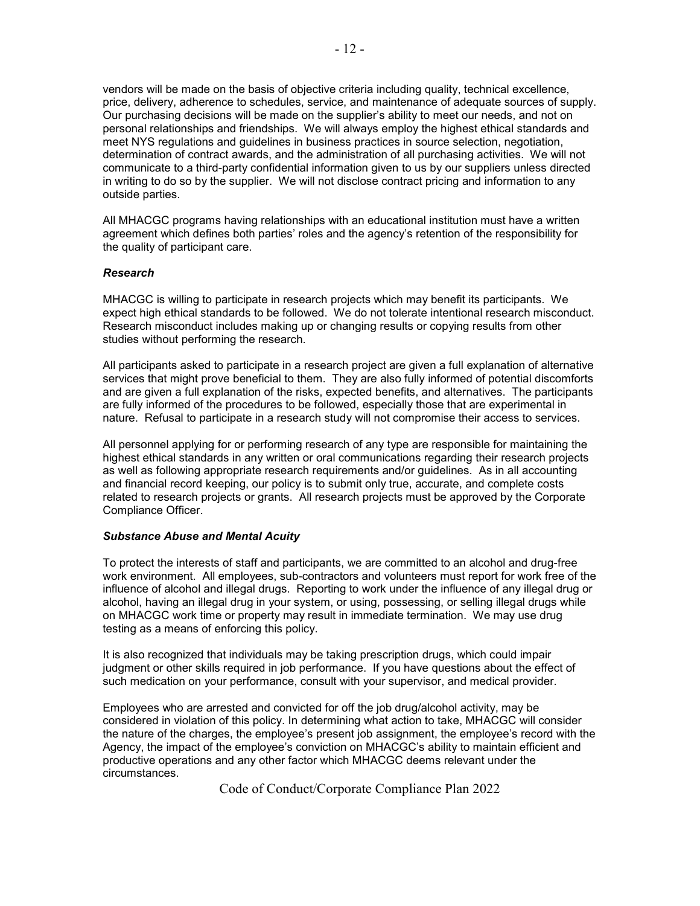vendors will be made on the basis of objective criteria including quality, technical excellence, price, delivery, adherence to schedules, service, and maintenance of adequate sources of supply. Our purchasing decisions will be made on the supplier's ability to meet our needs, and not on personal relationships and friendships. We will always employ the highest ethical standards and meet NYS regulations and guidelines in business practices in source selection, negotiation, determination of contract awards, and the administration of all purchasing activities. We will not communicate to a third-party confidential information given to us by our suppliers unless directed in writing to do so by the supplier. We will not disclose contract pricing and information to any outside parties.

All MHACGC programs having relationships with an educational institution must have a written agreement which defines both parties' roles and the agency's retention of the responsibility for the quality of participant care.

### *Research*

MHACGC is willing to participate in research projects which may benefit its participants. We expect high ethical standards to be followed. We do not tolerate intentional research misconduct. Research misconduct includes making up or changing results or copying results from other studies without performing the research.

All participants asked to participate in a research project are given a full explanation of alternative services that might prove beneficial to them. They are also fully informed of potential discomforts and are given a full explanation of the risks, expected benefits, and alternatives. The participants are fully informed of the procedures to be followed, especially those that are experimental in nature. Refusal to participate in a research study will not compromise their access to services.

All personnel applying for or performing research of any type are responsible for maintaining the highest ethical standards in any written or oral communications regarding their research projects as well as following appropriate research requirements and/or guidelines. As in all accounting and financial record keeping, our policy is to submit only true, accurate, and complete costs related to research projects or grants. All research projects must be approved by the Corporate Compliance Officer.

### *Substance Abuse and Mental Acuity*

To protect the interests of staff and participants, we are committed to an alcohol and drug-free work environment. All employees, sub-contractors and volunteers must report for work free of the influence of alcohol and illegal drugs. Reporting to work under the influence of any illegal drug or alcohol, having an illegal drug in your system, or using, possessing, or selling illegal drugs while on MHACGC work time or property may result in immediate termination. We may use drug testing as a means of enforcing this policy.

It is also recognized that individuals may be taking prescription drugs, which could impair judgment or other skills required in job performance. If you have questions about the effect of such medication on your performance, consult with your supervisor, and medical provider.

Employees who are arrested and convicted for off the job drug/alcohol activity, may be considered in violation of this policy. In determining what action to take, MHACGC will consider the nature of the charges, the employee's present job assignment, the employee's record with the Agency, the impact of the employee's conviction on MHACGC's ability to maintain efficient and productive operations and any other factor which MHACGC deems relevant under the circumstances.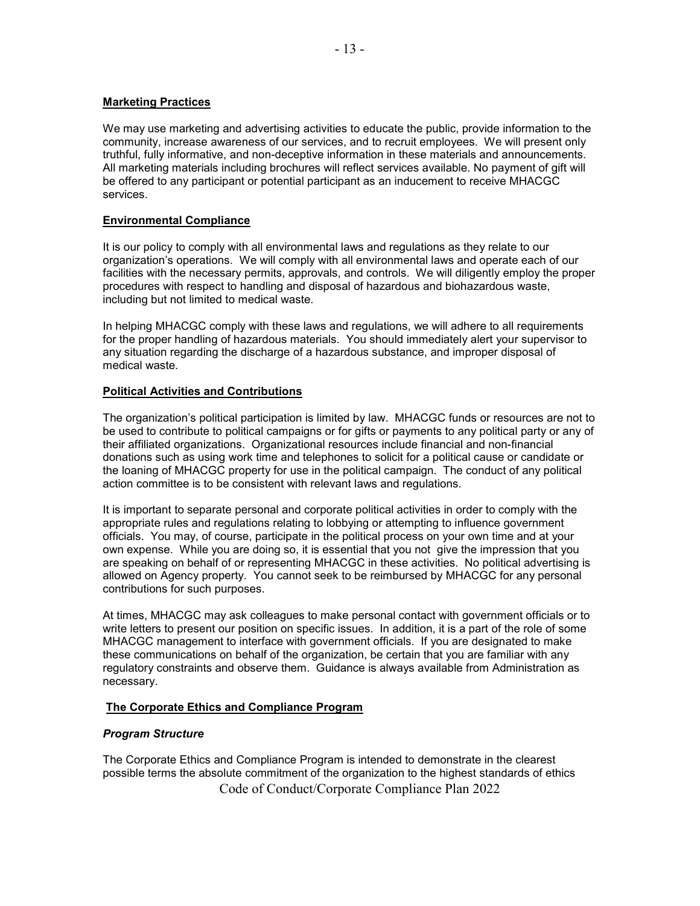### **Marketing Practices**

We may use marketing and advertising activities to educate the public, provide information to the community, increase awareness of our services, and to recruit employees. We will present only truthful, fully informative, and non-deceptive information in these materials and announcements. All marketing materials including brochures will reflect services available. No payment of gift will be offered to any participant or potential participant as an inducement to receive MHACGC services.

# **Environmental Compliance**

It is our policy to comply with all environmental laws and regulations as they relate to our organization's operations. We will comply with all environmental laws and operate each of our facilities with the necessary permits, approvals, and controls. We will diligently employ the proper procedures with respect to handling and disposal of hazardous and biohazardous waste, including but not limited to medical waste.

In helping MHACGC comply with these laws and regulations, we will adhere to all requirements for the proper handling of hazardous materials. You should immediately alert your supervisor to any situation regarding the discharge of a hazardous substance, and improper disposal of medical waste.

### **Political Activities and Contributions**

The organization's political participation is limited by law. MHACGC funds or resources are not to be used to contribute to political campaigns or for gifts or payments to any political party or any of their affiliated organizations. Organizational resources include financial and non-financial donations such as using work time and telephones to solicit for a political cause or candidate or the loaning of MHACGC property for use in the political campaign. The conduct of any political action committee is to be consistent with relevant laws and regulations.

It is important to separate personal and corporate political activities in order to comply with the appropriate rules and regulations relating to lobbying or attempting to influence government officials. You may, of course, participate in the political process on your own time and at your own expense. While you are doing so, it is essential that you not give the impression that you are speaking on behalf of or representing MHACGC in these activities. No political advertising is allowed on Agency property. You cannot seek to be reimbursed by MHACGC for any personal contributions for such purposes.

At times, MHACGC may ask colleagues to make personal contact with government officials or to write letters to present our position on specific issues. In addition, it is a part of the role of some MHACGC management to interface with government officials. If you are designated to make these communications on behalf of the organization, be certain that you are familiar with any regulatory constraints and observe them. Guidance is always available from Administration as necessary.

# **The Corporate Ethics and Compliance Program**

# *Program Structure*

 Code of Conduct/Corporate Compliance Plan 2022 The Corporate Ethics and Compliance Program is intended to demonstrate in the clearest possible terms the absolute commitment of the organization to the highest standards of ethics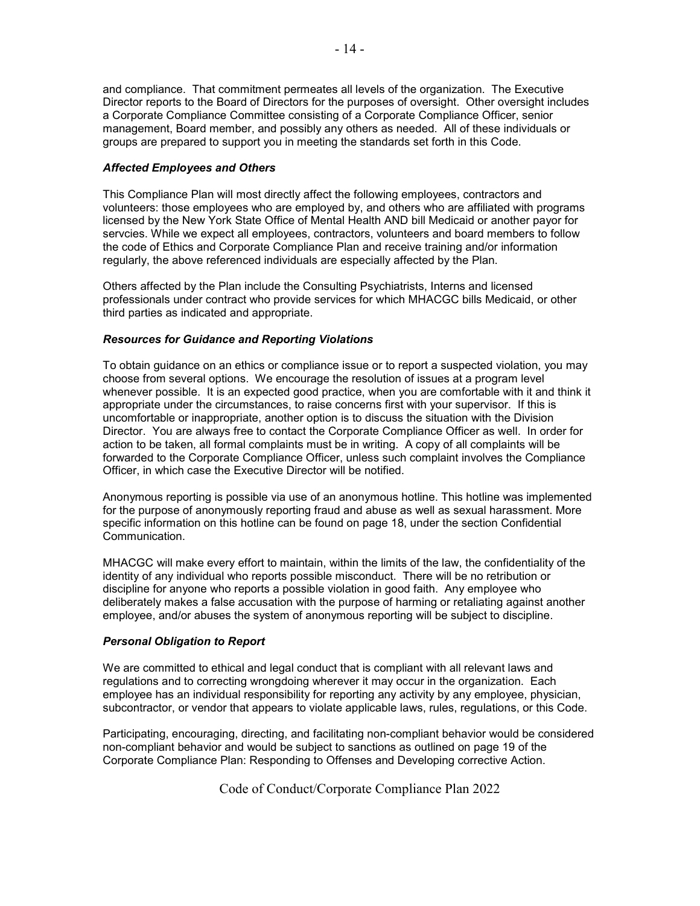and compliance. That commitment permeates all levels of the organization. The Executive Director reports to the Board of Directors for the purposes of oversight. Other oversight includes a Corporate Compliance Committee consisting of a Corporate Compliance Officer, senior management, Board member, and possibly any others as needed. All of these individuals or groups are prepared to support you in meeting the standards set forth in this Code.

### *Affected Employees and Others*

This Compliance Plan will most directly affect the following employees, contractors and volunteers: those employees who are employed by, and others who are affiliated with programs licensed by the New York State Office of Mental Health AND bill Medicaid or another payor for servcies. While we expect all employees, contractors, volunteers and board members to follow the code of Ethics and Corporate Compliance Plan and receive training and/or information regularly, the above referenced individuals are especially affected by the Plan.

Others affected by the Plan include the Consulting Psychiatrists, Interns and licensed professionals under contract who provide services for which MHACGC bills Medicaid, or other third parties as indicated and appropriate.

### *Resources for Guidance and Reporting Violations*

To obtain guidance on an ethics or compliance issue or to report a suspected violation, you may choose from several options. We encourage the resolution of issues at a program level whenever possible. It is an expected good practice, when you are comfortable with it and think it appropriate under the circumstances, to raise concerns first with your supervisor. If this is uncomfortable or inappropriate, another option is to discuss the situation with the Division Director. You are always free to contact the Corporate Compliance Officer as well. In order for action to be taken, all formal complaints must be in writing. A copy of all complaints will be forwarded to the Corporate Compliance Officer, unless such complaint involves the Compliance Officer, in which case the Executive Director will be notified.

Anonymous reporting is possible via use of an anonymous hotline. This hotline was implemented for the purpose of anonymously reporting fraud and abuse as well as sexual harassment. More specific information on this hotline can be found on page 18, under the section Confidential Communication.

MHACGC will make every effort to maintain, within the limits of the law, the confidentiality of the identity of any individual who reports possible misconduct. There will be no retribution or discipline for anyone who reports a possible violation in good faith. Any employee who deliberately makes a false accusation with the purpose of harming or retaliating against another employee, and/or abuses the system of anonymous reporting will be subject to discipline.

### *Personal Obligation to Report*

We are committed to ethical and legal conduct that is compliant with all relevant laws and regulations and to correcting wrongdoing wherever it may occur in the organization. Each employee has an individual responsibility for reporting any activity by any employee, physician, subcontractor, or vendor that appears to violate applicable laws, rules, regulations, or this Code.

Participating, encouraging, directing, and facilitating non-compliant behavior would be considered non-compliant behavior and would be subject to sanctions as outlined on page 19 of the Corporate Compliance Plan: Responding to Offenses and Developing corrective Action.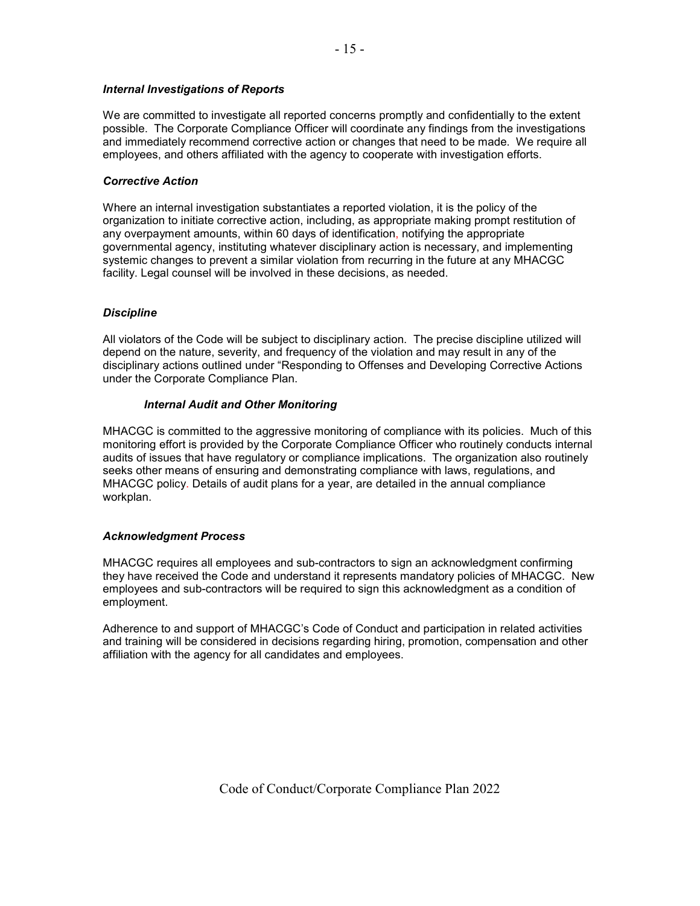# *Internal Investigations of Reports*

We are committed to investigate all reported concerns promptly and confidentially to the extent possible. The Corporate Compliance Officer will coordinate any findings from the investigations and immediately recommend corrective action or changes that need to be made. We require all employees, and others affiliated with the agency to cooperate with investigation efforts.

### *Corrective Action*

Where an internal investigation substantiates a reported violation, it is the policy of the organization to initiate corrective action, including, as appropriate making prompt restitution of any overpayment amounts, within 60 days of identification, notifying the appropriate governmental agency, instituting whatever disciplinary action is necessary, and implementing systemic changes to prevent a similar violation from recurring in the future at any MHACGC facility. Legal counsel will be involved in these decisions, as needed.

### *Discipline*

All violators of the Code will be subject to disciplinary action. The precise discipline utilized will depend on the nature, severity, and frequency of the violation and may result in any of the disciplinary actions outlined under "Responding to Offenses and Developing Corrective Actions under the Corporate Compliance Plan.

### *Internal Audit and Other Monitoring*

MHACGC is committed to the aggressive monitoring of compliance with its policies. Much of this monitoring effort is provided by the Corporate Compliance Officer who routinely conducts internal audits of issues that have regulatory or compliance implications. The organization also routinely seeks other means of ensuring and demonstrating compliance with laws, regulations, and MHACGC policy. Details of audit plans for a year, are detailed in the annual compliance workplan.

### *Acknowledgment Process*

MHACGC requires all employees and sub-contractors to sign an acknowledgment confirming they have received the Code and understand it represents mandatory policies of MHACGC. New employees and sub-contractors will be required to sign this acknowledgment as a condition of employment.

Adherence to and support of MHACGC's Code of Conduct and participation in related activities and training will be considered in decisions regarding hiring, promotion, compensation and other affiliation with the agency for all candidates and employees.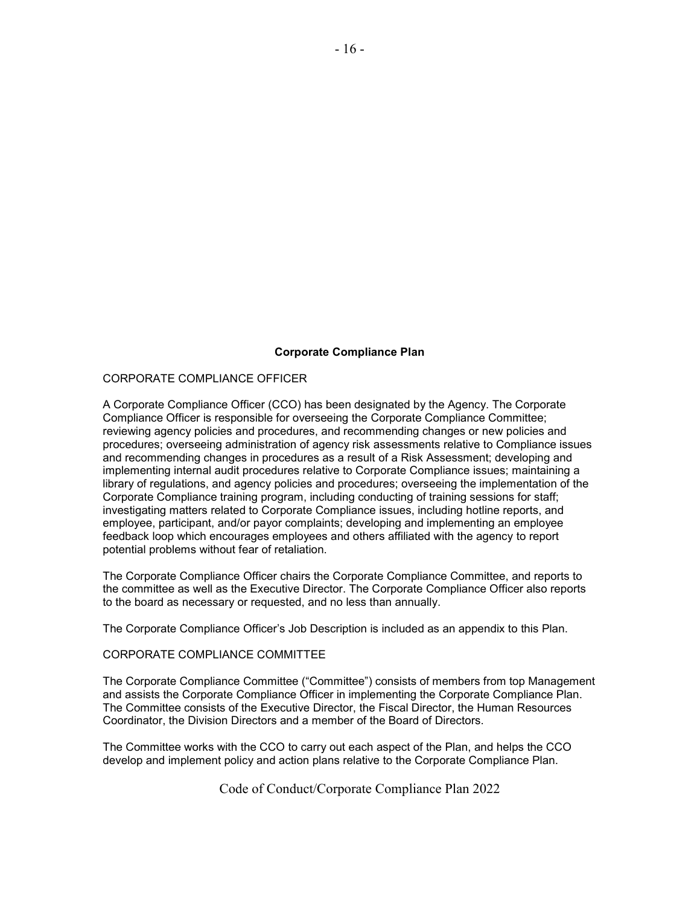### **Corporate Compliance Plan**

### CORPORATE COMPLIANCE OFFICER

A Corporate Compliance Officer (CCO) has been designated by the Agency. The Corporate Compliance Officer is responsible for overseeing the Corporate Compliance Committee; reviewing agency policies and procedures, and recommending changes or new policies and procedures; overseeing administration of agency risk assessments relative to Compliance issues and recommending changes in procedures as a result of a Risk Assessment; developing and implementing internal audit procedures relative to Corporate Compliance issues; maintaining a library of regulations, and agency policies and procedures; overseeing the implementation of the Corporate Compliance training program, including conducting of training sessions for staff; investigating matters related to Corporate Compliance issues, including hotline reports, and employee, participant, and/or payor complaints; developing and implementing an employee feedback loop which encourages employees and others affiliated with the agency to report potential problems without fear of retaliation.

The Corporate Compliance Officer chairs the Corporate Compliance Committee, and reports to the committee as well as the Executive Director. The Corporate Compliance Officer also reports to the board as necessary or requested, and no less than annually.

The Corporate Compliance Officer's Job Description is included as an appendix to this Plan.

### CORPORATE COMPLIANCE COMMITTEE

The Corporate Compliance Committee ("Committee") consists of members from top Management and assists the Corporate Compliance Officer in implementing the Corporate Compliance Plan. The Committee consists of the Executive Director, the Fiscal Director, the Human Resources Coordinator, the Division Directors and a member of the Board of Directors.

The Committee works with the CCO to carry out each aspect of the Plan, and helps the CCO develop and implement policy and action plans relative to the Corporate Compliance Plan.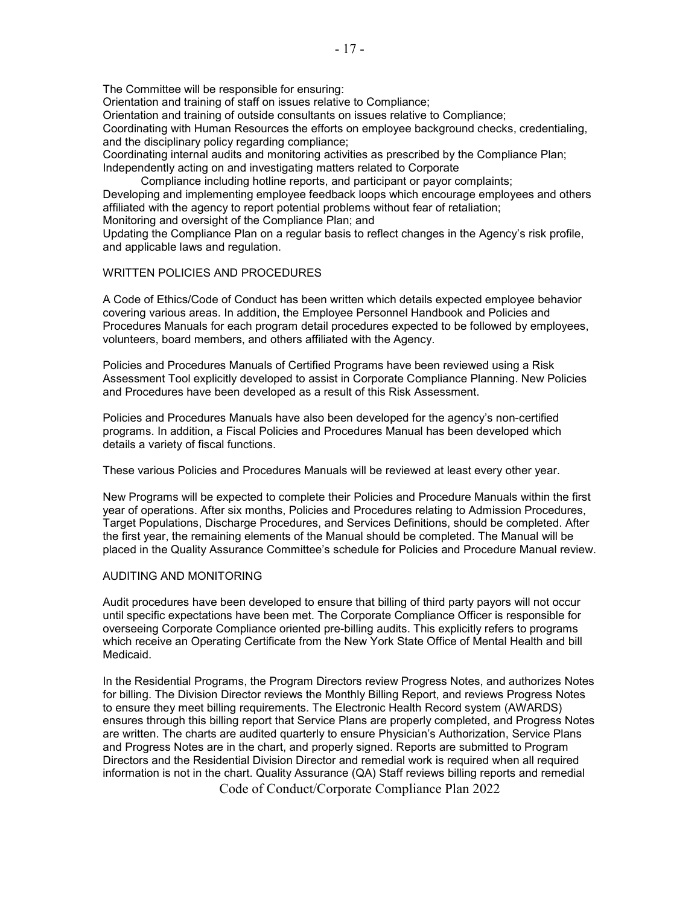The Committee will be responsible for ensuring:

Orientation and training of staff on issues relative to Compliance;

Orientation and training of outside consultants on issues relative to Compliance;

Coordinating with Human Resources the efforts on employee background checks, credentialing, and the disciplinary policy regarding compliance;

Coordinating internal audits and monitoring activities as prescribed by the Compliance Plan; Independently acting on and investigating matters related to Corporate

Compliance including hotline reports, and participant or payor complaints;

Developing and implementing employee feedback loops which encourage employees and others affiliated with the agency to report potential problems without fear of retaliation;

Monitoring and oversight of the Compliance Plan; and

Updating the Compliance Plan on a regular basis to reflect changes in the Agency's risk profile, and applicable laws and regulation.

### WRITTEN POLICIES AND PROCEDURES

A Code of Ethics/Code of Conduct has been written which details expected employee behavior covering various areas. In addition, the Employee Personnel Handbook and Policies and Procedures Manuals for each program detail procedures expected to be followed by employees, volunteers, board members, and others affiliated with the Agency.

Policies and Procedures Manuals of Certified Programs have been reviewed using a Risk Assessment Tool explicitly developed to assist in Corporate Compliance Planning. New Policies and Procedures have been developed as a result of this Risk Assessment.

Policies and Procedures Manuals have also been developed for the agency's non-certified programs. In addition, a Fiscal Policies and Procedures Manual has been developed which details a variety of fiscal functions.

These various Policies and Procedures Manuals will be reviewed at least every other year.

New Programs will be expected to complete their Policies and Procedure Manuals within the first year of operations. After six months, Policies and Procedures relating to Admission Procedures, Target Populations, Discharge Procedures, and Services Definitions, should be completed. After the first year, the remaining elements of the Manual should be completed. The Manual will be placed in the Quality Assurance Committee's schedule for Policies and Procedure Manual review.

### AUDITING AND MONITORING

Audit procedures have been developed to ensure that billing of third party payors will not occur until specific expectations have been met. The Corporate Compliance Officer is responsible for overseeing Corporate Compliance oriented pre-billing audits. This explicitly refers to programs which receive an Operating Certificate from the New York State Office of Mental Health and bill Medicaid.

In the Residential Programs, the Program Directors review Progress Notes, and authorizes Notes for billing. The Division Director reviews the Monthly Billing Report, and reviews Progress Notes to ensure they meet billing requirements. The Electronic Health Record system (AWARDS) ensures through this billing report that Service Plans are properly completed, and Progress Notes are written. The charts are audited quarterly to ensure Physician's Authorization, Service Plans and Progress Notes are in the chart, and properly signed. Reports are submitted to Program Directors and the Residential Division Director and remedial work is required when all required information is not in the chart. Quality Assurance (QA) Staff reviews billing reports and remedial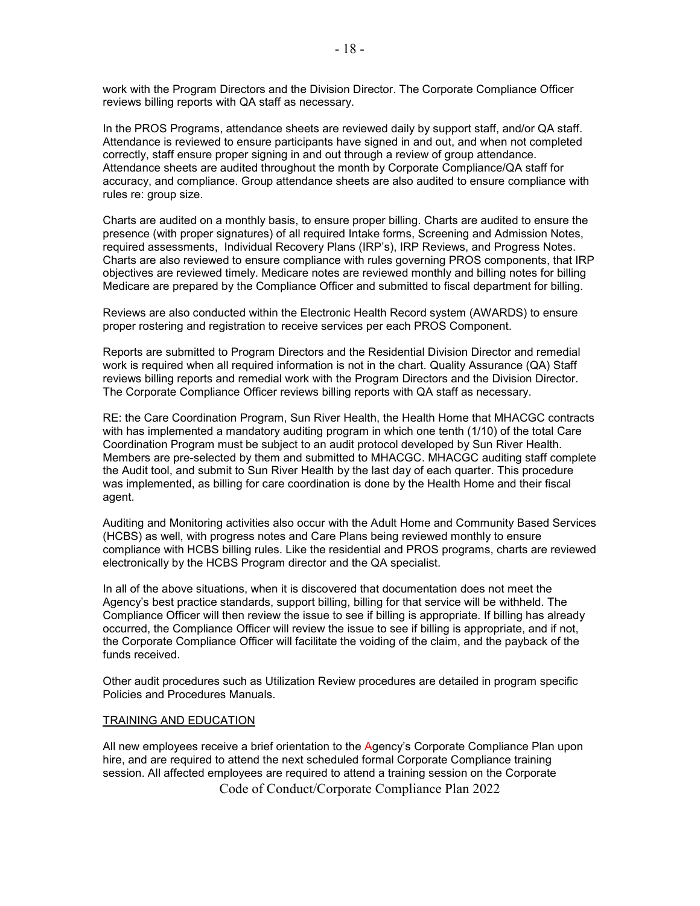work with the Program Directors and the Division Director. The Corporate Compliance Officer reviews billing reports with QA staff as necessary.

In the PROS Programs, attendance sheets are reviewed daily by support staff, and/or QA staff. Attendance is reviewed to ensure participants have signed in and out, and when not completed correctly, staff ensure proper signing in and out through a review of group attendance. Attendance sheets are audited throughout the month by Corporate Compliance/QA staff for accuracy, and compliance. Group attendance sheets are also audited to ensure compliance with rules re: group size.

Charts are audited on a monthly basis, to ensure proper billing. Charts are audited to ensure the presence (with proper signatures) of all required Intake forms, Screening and Admission Notes, required assessments, Individual Recovery Plans (IRP's), IRP Reviews, and Progress Notes. Charts are also reviewed to ensure compliance with rules governing PROS components, that IRP objectives are reviewed timely. Medicare notes are reviewed monthly and billing notes for billing Medicare are prepared by the Compliance Officer and submitted to fiscal department for billing.

Reviews are also conducted within the Electronic Health Record system (AWARDS) to ensure proper rostering and registration to receive services per each PROS Component.

Reports are submitted to Program Directors and the Residential Division Director and remedial work is required when all required information is not in the chart. Quality Assurance (QA) Staff reviews billing reports and remedial work with the Program Directors and the Division Director. The Corporate Compliance Officer reviews billing reports with QA staff as necessary.

RE: the Care Coordination Program, Sun River Health, the Health Home that MHACGC contracts with has implemented a mandatory auditing program in which one tenth (1/10) of the total Care Coordination Program must be subject to an audit protocol developed by Sun River Health. Members are pre-selected by them and submitted to MHACGC. MHACGC auditing staff complete the Audit tool, and submit to Sun River Health by the last day of each quarter. This procedure was implemented, as billing for care coordination is done by the Health Home and their fiscal agent.

Auditing and Monitoring activities also occur with the Adult Home and Community Based Services (HCBS) as well, with progress notes and Care Plans being reviewed monthly to ensure compliance with HCBS billing rules. Like the residential and PROS programs, charts are reviewed electronically by the HCBS Program director and the QA specialist.

In all of the above situations, when it is discovered that documentation does not meet the Agency's best practice standards, support billing, billing for that service will be withheld. The Compliance Officer will then review the issue to see if billing is appropriate. If billing has already occurred, the Compliance Officer will review the issue to see if billing is appropriate, and if not, the Corporate Compliance Officer will facilitate the voiding of the claim, and the payback of the funds received.

Other audit procedures such as Utilization Review procedures are detailed in program specific Policies and Procedures Manuals.

#### TRAINING AND EDUCATION

 Code of Conduct/Corporate Compliance Plan 2022 All new employees receive a brief orientation to the Agency's Corporate Compliance Plan upon hire, and are required to attend the next scheduled formal Corporate Compliance training session. All affected employees are required to attend a training session on the Corporate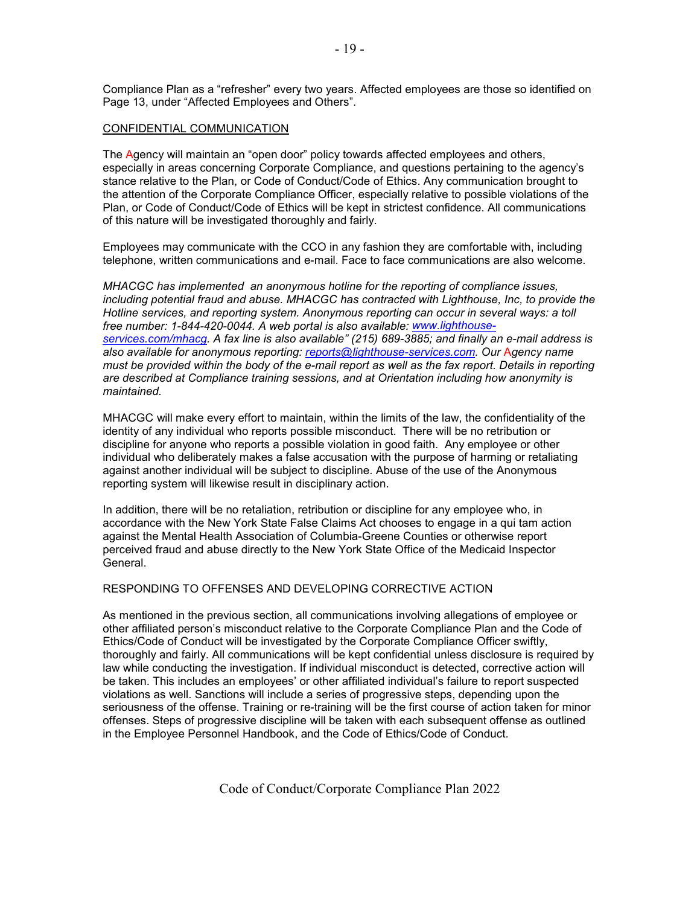Compliance Plan as a "refresher" every two years. Affected employees are those so identified on Page 13, under "Affected Employees and Others".

#### CONFIDENTIAL COMMUNICATION

The Agency will maintain an "open door" policy towards affected employees and others, especially in areas concerning Corporate Compliance, and questions pertaining to the agency's stance relative to the Plan, or Code of Conduct/Code of Ethics. Any communication brought to the attention of the Corporate Compliance Officer, especially relative to possible violations of the Plan, or Code of Conduct/Code of Ethics will be kept in strictest confidence. All communications of this nature will be investigated thoroughly and fairly.

Employees may communicate with the CCO in any fashion they are comfortable with, including telephone, written communications and e-mail. Face to face communications are also welcome.

*MHACGC has implemented an anonymous hotline for the reporting of compliance issues, including potential fraud and abuse. MHACGC has contracted with Lighthouse, Inc, to provide the Hotline services, and reporting system. Anonymous reporting can occur in several ways: a toll free number: 1-844-420-0044. A web portal is also available: [www.lighthouse](http://www.lighthouse-services.com/mhacg)[services.com/mhacg.](http://www.lighthouse-services.com/mhacg) A fax line is also available" (215) 689-3885; and finally an e-mail address is also available for anonymous reporting: [reports@lighthouse-services.com.](mailto:reports@lighthouse-services.com) Our* A*gency name must be provided within the body of the e-mail report as well as the fax report. Details in reporting are described at Compliance training sessions, and at Orientation including how anonymity is maintained.*

MHACGC will make every effort to maintain, within the limits of the law, the confidentiality of the identity of any individual who reports possible misconduct. There will be no retribution or discipline for anyone who reports a possible violation in good faith. Any employee or other individual who deliberately makes a false accusation with the purpose of harming or retaliating against another individual will be subject to discipline. Abuse of the use of the Anonymous reporting system will likewise result in disciplinary action.

In addition, there will be no retaliation, retribution or discipline for any employee who, in accordance with the New York State False Claims Act chooses to engage in a qui tam action against the Mental Health Association of Columbia-Greene Counties or otherwise report perceived fraud and abuse directly to the New York State Office of the Medicaid Inspector General.

#### RESPONDING TO OFFENSES AND DEVELOPING CORRECTIVE ACTION

As mentioned in the previous section, all communications involving allegations of employee or other affiliated person's misconduct relative to the Corporate Compliance Plan and the Code of Ethics/Code of Conduct will be investigated by the Corporate Compliance Officer swiftly, thoroughly and fairly. All communications will be kept confidential unless disclosure is required by law while conducting the investigation. If individual misconduct is detected, corrective action will be taken. This includes an employees' or other affiliated individual's failure to report suspected violations as well. Sanctions will include a series of progressive steps, depending upon the seriousness of the offense. Training or re-training will be the first course of action taken for minor offenses. Steps of progressive discipline will be taken with each subsequent offense as outlined in the Employee Personnel Handbook, and the Code of Ethics/Code of Conduct.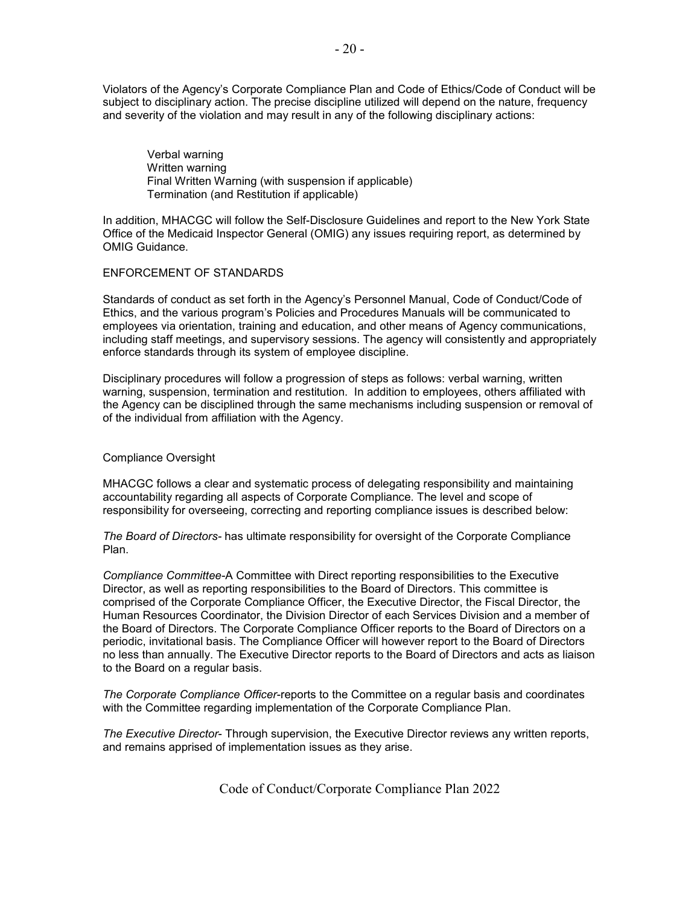Violators of the Agency's Corporate Compliance Plan and Code of Ethics/Code of Conduct will be subject to disciplinary action. The precise discipline utilized will depend on the nature, frequency and severity of the violation and may result in any of the following disciplinary actions:

 Verbal warning Written warning Final Written Warning (with suspension if applicable) Termination (and Restitution if applicable)

In addition, MHACGC will follow the Self-Disclosure Guidelines and report to the New York State Office of the Medicaid Inspector General (OMIG) any issues requiring report, as determined by OMIG Guidance.

### ENFORCEMENT OF STANDARDS

Standards of conduct as set forth in the Agency's Personnel Manual, Code of Conduct/Code of Ethics, and the various program's Policies and Procedures Manuals will be communicated to employees via orientation, training and education, and other means of Agency communications, including staff meetings, and supervisory sessions. The agency will consistently and appropriately enforce standards through its system of employee discipline.

Disciplinary procedures will follow a progression of steps as follows: verbal warning, written warning, suspension, termination and restitution. In addition to employees, others affiliated with the Agency can be disciplined through the same mechanisms including suspension or removal of of the individual from affiliation with the Agency.

### Compliance Oversight

MHACGC follows a clear and systematic process of delegating responsibility and maintaining accountability regarding all aspects of Corporate Compliance. The level and scope of responsibility for overseeing, correcting and reporting compliance issues is described below:

*The Board of Directors-* has ultimate responsibility for oversight of the Corporate Compliance Plan.

*Compliance Committee-*A Committee with Direct reporting responsibilities to the Executive Director, as well as reporting responsibilities to the Board of Directors. This committee is comprised of the Corporate Compliance Officer, the Executive Director, the Fiscal Director, the Human Resources Coordinator, the Division Director of each Services Division and a member of the Board of Directors. The Corporate Compliance Officer reports to the Board of Directors on a periodic, invitational basis. The Compliance Officer will however report to the Board of Directors no less than annually. The Executive Director reports to the Board of Directors and acts as liaison to the Board on a regular basis.

*The Corporate Compliance Officer*-reports to the Committee on a regular basis and coordinates with the Committee regarding implementation of the Corporate Compliance Plan.

*The Executive Director*- Through supervision, the Executive Director reviews any written reports, and remains apprised of implementation issues as they arise.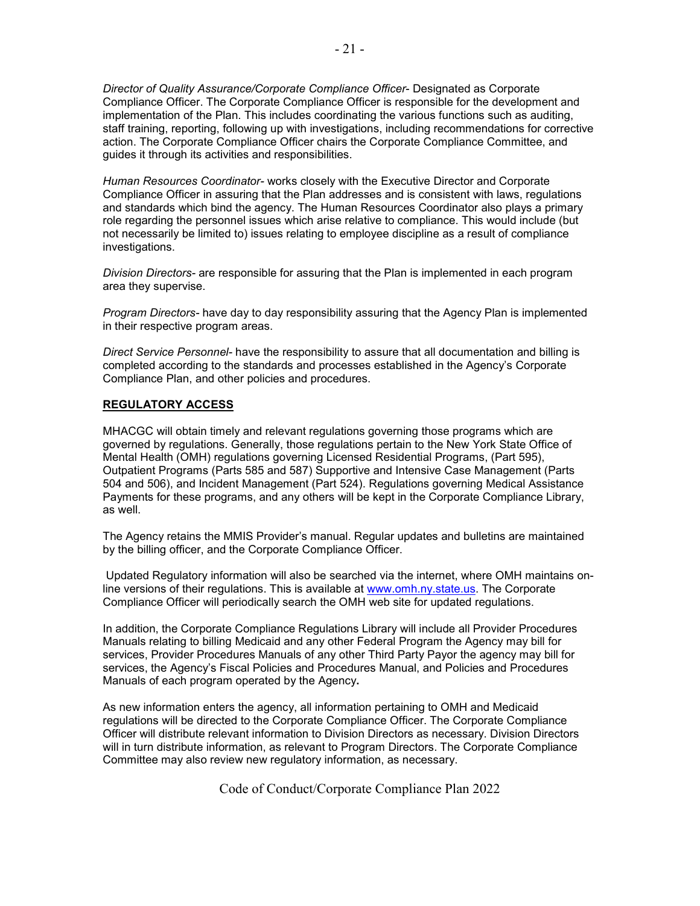*Director of Quality Assurance/Corporate Compliance Officer*- Designated as Corporate Compliance Officer. The Corporate Compliance Officer is responsible for the development and implementation of the Plan. This includes coordinating the various functions such as auditing, staff training, reporting, following up with investigations, including recommendations for corrective action. The Corporate Compliance Officer chairs the Corporate Compliance Committee, and guides it through its activities and responsibilities.

*Human Resources Coordinator-* works closely with the Executive Director and Corporate Compliance Officer in assuring that the Plan addresses and is consistent with laws, regulations and standards which bind the agency. The Human Resources Coordinator also plays a primary role regarding the personnel issues which arise relative to compliance. This would include (but not necessarily be limited to) issues relating to employee discipline as a result of compliance investigations.

*Division Directors-* are responsible for assuring that the Plan is implemented in each program area they supervise.

*Program Directors-* have day to day responsibility assuring that the Agency Plan is implemented in their respective program areas.

*Direct Service Personnel-* have the responsibility to assure that all documentation and billing is completed according to the standards and processes established in the Agency's Corporate Compliance Plan, and other policies and procedures.

#### **REGULATORY ACCESS**

MHACGC will obtain timely and relevant regulations governing those programs which are governed by regulations. Generally, those regulations pertain to the New York State Office of Mental Health (OMH) regulations governing Licensed Residential Programs, (Part 595), Outpatient Programs (Parts 585 and 587) Supportive and Intensive Case Management (Parts 504 and 506), and Incident Management (Part 524). Regulations governing Medical Assistance Payments for these programs, and any others will be kept in the Corporate Compliance Library, as well.

The Agency retains the MMIS Provider's manual. Regular updates and bulletins are maintained by the billing officer, and the Corporate Compliance Officer.

Updated Regulatory information will also be searched via the internet, where OMH maintains online versions of their regulations. This is available at [www.omh.ny.state.us.](http://www.omh.ny.state.us/) The Corporate Compliance Officer will periodically search the OMH web site for updated regulations.

In addition, the Corporate Compliance Regulations Library will include all Provider Procedures Manuals relating to billing Medicaid and any other Federal Program the Agency may bill for services, Provider Procedures Manuals of any other Third Party Payor the agency may bill for services, the Agency's Fiscal Policies and Procedures Manual, and Policies and Procedures Manuals of each program operated by the Agency**.** 

As new information enters the agency, all information pertaining to OMH and Medicaid regulations will be directed to the Corporate Compliance Officer. The Corporate Compliance Officer will distribute relevant information to Division Directors as necessary. Division Directors will in turn distribute information, as relevant to Program Directors. The Corporate Compliance Committee may also review new regulatory information, as necessary.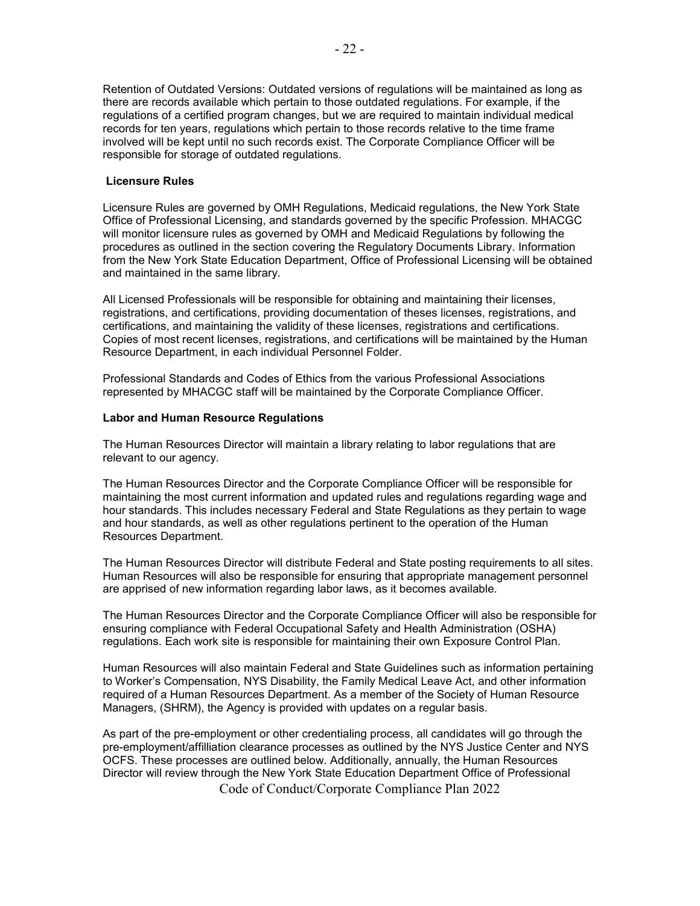Retention of Outdated Versions: Outdated versions of regulations will be maintained as long as there are records available which pertain to those outdated regulations. For example, if the regulations of a certified program changes, but we are required to maintain individual medical records for ten years, regulations which pertain to those records relative to the time frame involved will be kept until no such records exist. The Corporate Compliance Officer will be responsible for storage of outdated regulations.

### **Licensure Rules**

Licensure Rules are governed by OMH Regulations, Medicaid regulations, the New York State Office of Professional Licensing, and standards governed by the specific Profession. MHACGC will monitor licensure rules as governed by OMH and Medicaid Regulations by following the procedures as outlined in the section covering the Regulatory Documents Library. Information from the New York State Education Department, Office of Professional Licensing will be obtained and maintained in the same library.

All Licensed Professionals will be responsible for obtaining and maintaining their licenses, registrations, and certifications, providing documentation of theses licenses, registrations, and certifications, and maintaining the validity of these licenses, registrations and certifications. Copies of most recent licenses, registrations, and certifications will be maintained by the Human Resource Department, in each individual Personnel Folder.

Professional Standards and Codes of Ethics from the various Professional Associations represented by MHACGC staff will be maintained by the Corporate Compliance Officer.

### **Labor and Human Resource Regulations**

The Human Resources Director will maintain a library relating to labor regulations that are relevant to our agency.

The Human Resources Director and the Corporate Compliance Officer will be responsible for maintaining the most current information and updated rules and regulations regarding wage and hour standards. This includes necessary Federal and State Regulations as they pertain to wage and hour standards, as well as other regulations pertinent to the operation of the Human Resources Department.

The Human Resources Director will distribute Federal and State posting requirements to all sites. Human Resources will also be responsible for ensuring that appropriate management personnel are apprised of new information regarding labor laws, as it becomes available.

The Human Resources Director and the Corporate Compliance Officer will also be responsible for ensuring compliance with Federal Occupational Safety and Health Administration (OSHA) regulations. Each work site is responsible for maintaining their own Exposure Control Plan.

Human Resources will also maintain Federal and State Guidelines such as information pertaining to Worker's Compensation, NYS Disability, the Family Medical Leave Act, and other information required of a Human Resources Department. As a member of the Society of Human Resource Managers, (SHRM), the Agency is provided with updates on a regular basis.

As part of the pre-employment or other credentialing process, all candidates will go through the pre-employment/affilliation clearance processes as outlined by the NYS Justice Center and NYS OCFS. These processes are outlined below. Additionally, annually, the Human Resources Director will review through the New York State Education Department Office of Professional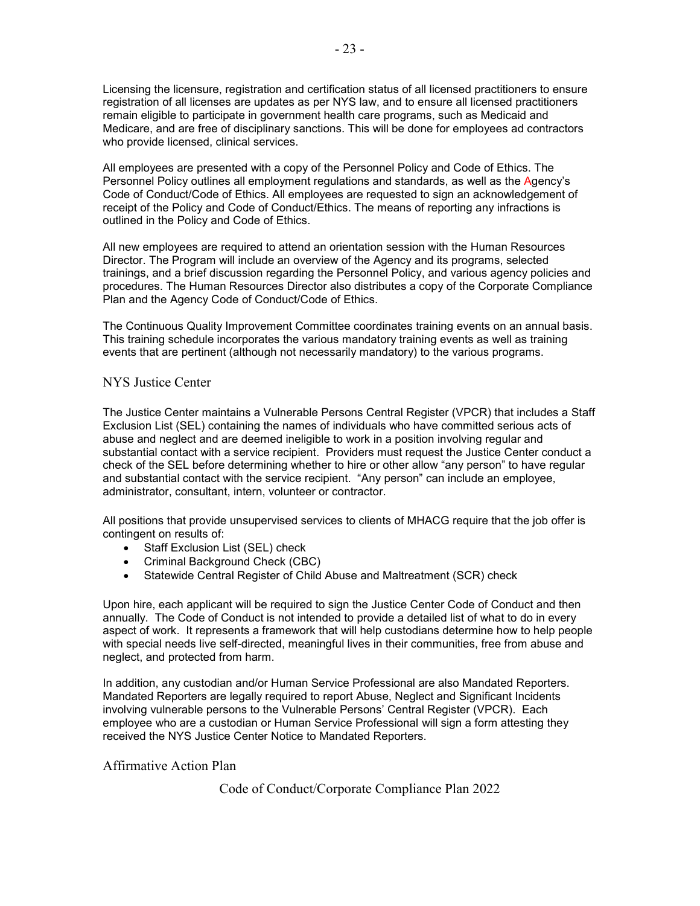Licensing the licensure, registration and certification status of all licensed practitioners to ensure registration of all licenses are updates as per NYS law, and to ensure all licensed practitioners remain eligible to participate in government health care programs, such as Medicaid and Medicare, and are free of disciplinary sanctions. This will be done for employees ad contractors who provide licensed, clinical services.

All employees are presented with a copy of the Personnel Policy and Code of Ethics. The Personnel Policy outlines all employment regulations and standards, as well as the Agency's Code of Conduct/Code of Ethics. All employees are requested to sign an acknowledgement of receipt of the Policy and Code of Conduct/Ethics. The means of reporting any infractions is outlined in the Policy and Code of Ethics.

All new employees are required to attend an orientation session with the Human Resources Director. The Program will include an overview of the Agency and its programs, selected trainings, and a brief discussion regarding the Personnel Policy, and various agency policies and procedures. The Human Resources Director also distributes a copy of the Corporate Compliance Plan and the Agency Code of Conduct/Code of Ethics.

The Continuous Quality Improvement Committee coordinates training events on an annual basis. This training schedule incorporates the various mandatory training events as well as training events that are pertinent (although not necessarily mandatory) to the various programs.

### NYS Justice Center

The Justice Center maintains a Vulnerable Persons Central Register (VPCR) that includes a Staff Exclusion List (SEL) containing the names of individuals who have committed serious acts of abuse and neglect and are deemed ineligible to work in a position involving regular and substantial contact with a service recipient. Providers must request the Justice Center conduct a check of the SEL before determining whether to hire or other allow "any person" to have regular and substantial contact with the service recipient. "Any person" can include an employee, administrator, consultant, intern, volunteer or contractor.

All positions that provide unsupervised services to clients of MHACG require that the job offer is contingent on results of:

- Staff Exclusion List (SEL) check
- Criminal Background Check (CBC)
- Statewide Central Register of Child Abuse and Maltreatment (SCR) check

Upon hire, each applicant will be required to sign the Justice Center Code of Conduct and then annually. The Code of Conduct is not intended to provide a detailed list of what to do in every aspect of work. It represents a framework that will help custodians determine how to help people with special needs live self-directed, meaningful lives in their communities, free from abuse and neglect, and protected from harm.

In addition, any custodian and/or Human Service Professional are also Mandated Reporters. Mandated Reporters are legally required to report Abuse, Neglect and Significant Incidents involving vulnerable persons to the Vulnerable Persons' Central Register (VPCR). Each employee who are a custodian or Human Service Professional will sign a form attesting they received the NYS Justice Center Notice to Mandated Reporters.

### Affirmative Action Plan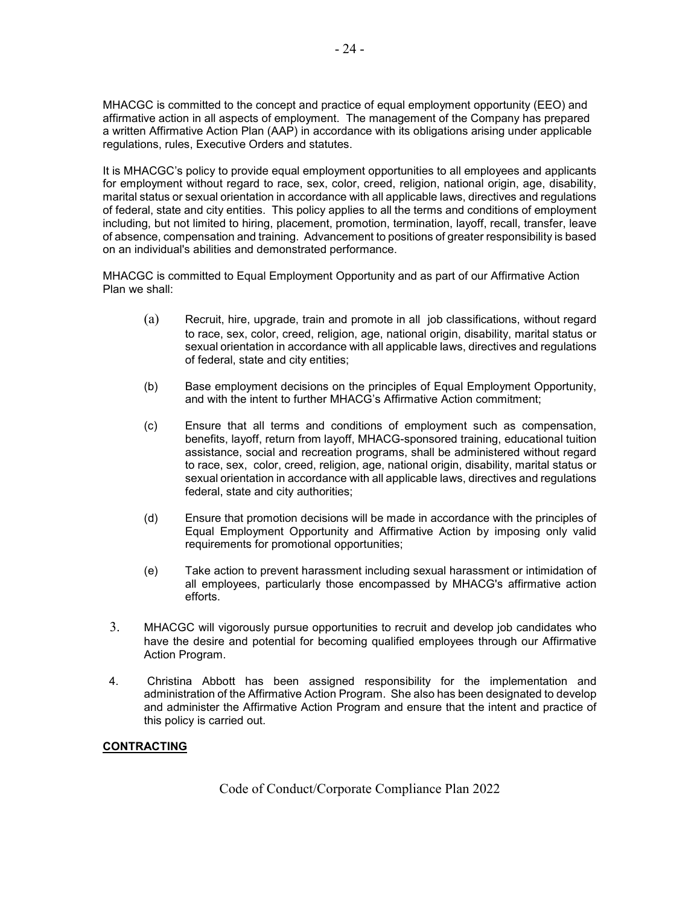MHACGC is committed to the concept and practice of equal employment opportunity (EEO) and affirmative action in all aspects of employment. The management of the Company has prepared a written Affirmative Action Plan (AAP) in accordance with its obligations arising under applicable regulations, rules, Executive Orders and statutes.

It is MHACGC's policy to provide equal employment opportunities to all employees and applicants for employment without regard to race, sex, color, creed, religion, national origin, age, disability, marital status or sexual orientation in accordance with all applicable laws, directives and regulations of federal, state and city entities. This policy applies to all the terms and conditions of employment including, but not limited to hiring, placement, promotion, termination, layoff, recall, transfer, leave of absence, compensation and training. Advancement to positions of greater responsibility is based on an individual's abilities and demonstrated performance.

MHACGC is committed to Equal Employment Opportunity and as part of our Affirmative Action Plan we shall:

- (a) Recruit, hire, upgrade, train and promote in all job classifications, without regard to race, sex, color, creed, religion, age, national origin, disability, marital status or sexual orientation in accordance with all applicable laws, directives and regulations of federal, state and city entities;
- (b) Base employment decisions on the principles of Equal Employment Opportunity, and with the intent to further MHACG's Affirmative Action commitment;
- (c) Ensure that all terms and conditions of employment such as compensation, benefits, layoff, return from layoff, MHACG-sponsored training, educational tuition assistance, social and recreation programs, shall be administered without regard to race, sex, color, creed, religion, age, national origin, disability, marital status or sexual orientation in accordance with all applicable laws, directives and regulations federal, state and city authorities;
- (d) Ensure that promotion decisions will be made in accordance with the principles of Equal Employment Opportunity and Affirmative Action by imposing only valid requirements for promotional opportunities;
- (e) Take action to prevent harassment including sexual harassment or intimidation of all employees, particularly those encompassed by MHACG's affirmative action efforts.
- 3. MHACGC will vigorously pursue opportunities to recruit and develop job candidates who have the desire and potential for becoming qualified employees through our Affirmative Action Program.
- 4. Christina Abbott has been assigned responsibility for the implementation and administration of the Affirmative Action Program. She also has been designated to develop and administer the Affirmative Action Program and ensure that the intent and practice of this policy is carried out.

# **CONTRACTING**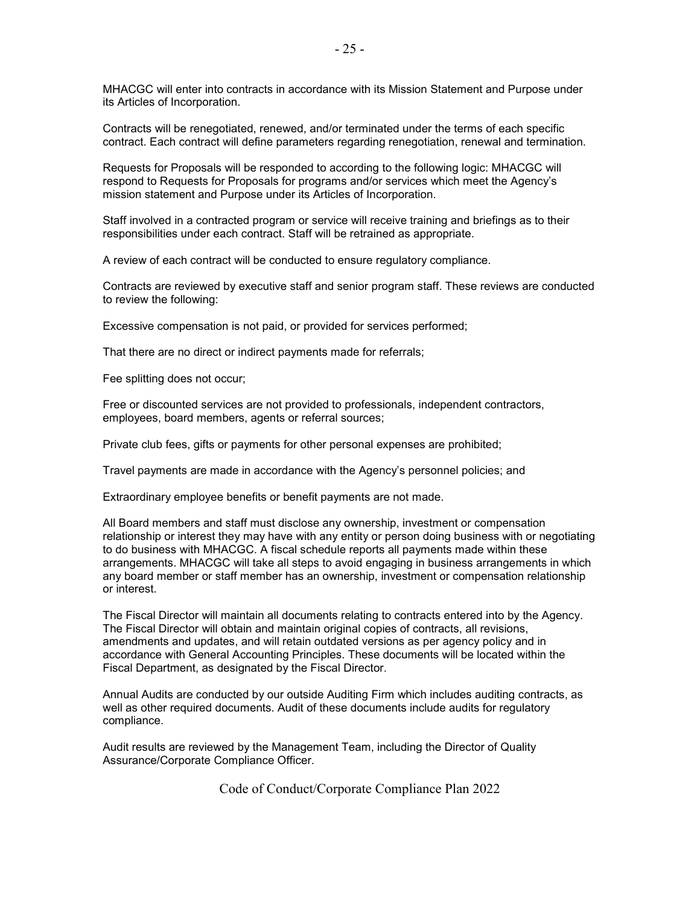MHACGC will enter into contracts in accordance with its Mission Statement and Purpose under its Articles of Incorporation.

Contracts will be renegotiated, renewed, and/or terminated under the terms of each specific contract. Each contract will define parameters regarding renegotiation, renewal and termination.

Requests for Proposals will be responded to according to the following logic: MHACGC will respond to Requests for Proposals for programs and/or services which meet the Agency's mission statement and Purpose under its Articles of Incorporation.

Staff involved in a contracted program or service will receive training and briefings as to their responsibilities under each contract. Staff will be retrained as appropriate.

A review of each contract will be conducted to ensure regulatory compliance.

Contracts are reviewed by executive staff and senior program staff. These reviews are conducted to review the following:

Excessive compensation is not paid, or provided for services performed;

That there are no direct or indirect payments made for referrals;

Fee splitting does not occur;

Free or discounted services are not provided to professionals, independent contractors, employees, board members, agents or referral sources;

Private club fees, gifts or payments for other personal expenses are prohibited;

Travel payments are made in accordance with the Agency's personnel policies; and

Extraordinary employee benefits or benefit payments are not made.

All Board members and staff must disclose any ownership, investment or compensation relationship or interest they may have with any entity or person doing business with or negotiating to do business with MHACGC. A fiscal schedule reports all payments made within these arrangements. MHACGC will take all steps to avoid engaging in business arrangements in which any board member or staff member has an ownership, investment or compensation relationship or interest.

The Fiscal Director will maintain all documents relating to contracts entered into by the Agency. The Fiscal Director will obtain and maintain original copies of contracts, all revisions, amendments and updates, and will retain outdated versions as per agency policy and in accordance with General Accounting Principles. These documents will be located within the Fiscal Department, as designated by the Fiscal Director.

Annual Audits are conducted by our outside Auditing Firm which includes auditing contracts, as well as other required documents. Audit of these documents include audits for regulatory compliance.

Audit results are reviewed by the Management Team, including the Director of Quality Assurance/Corporate Compliance Officer.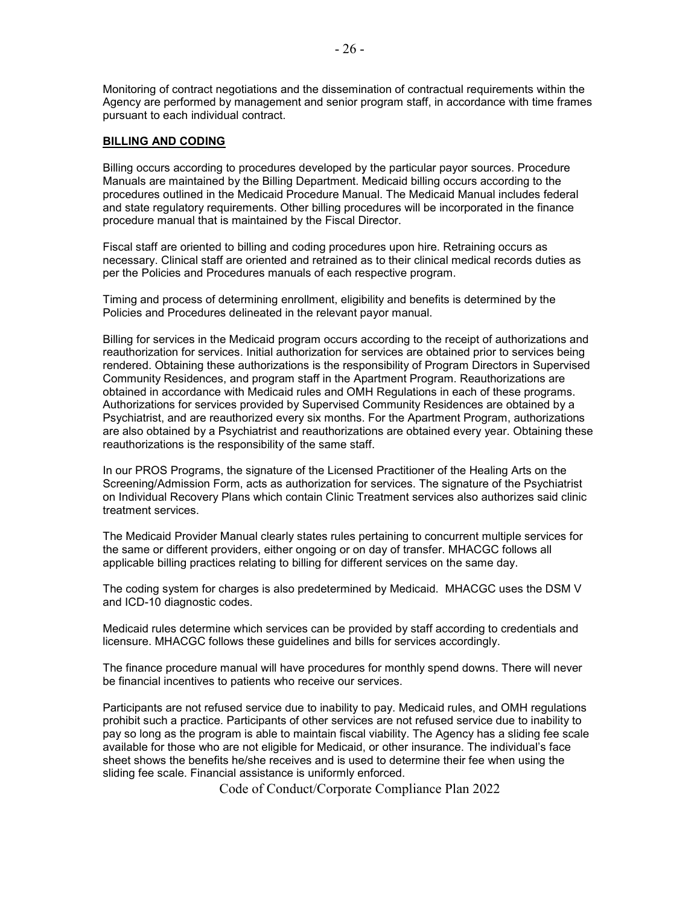Monitoring of contract negotiations and the dissemination of contractual requirements within the Agency are performed by management and senior program staff, in accordance with time frames pursuant to each individual contract.

# **BILLING AND CODING**

Billing occurs according to procedures developed by the particular payor sources. Procedure Manuals are maintained by the Billing Department. Medicaid billing occurs according to the procedures outlined in the Medicaid Procedure Manual. The Medicaid Manual includes federal and state regulatory requirements. Other billing procedures will be incorporated in the finance procedure manual that is maintained by the Fiscal Director.

Fiscal staff are oriented to billing and coding procedures upon hire. Retraining occurs as necessary. Clinical staff are oriented and retrained as to their clinical medical records duties as per the Policies and Procedures manuals of each respective program.

Timing and process of determining enrollment, eligibility and benefits is determined by the Policies and Procedures delineated in the relevant payor manual.

Billing for services in the Medicaid program occurs according to the receipt of authorizations and reauthorization for services. Initial authorization for services are obtained prior to services being rendered. Obtaining these authorizations is the responsibility of Program Directors in Supervised Community Residences, and program staff in the Apartment Program. Reauthorizations are obtained in accordance with Medicaid rules and OMH Regulations in each of these programs. Authorizations for services provided by Supervised Community Residences are obtained by a Psychiatrist, and are reauthorized every six months. For the Apartment Program, authorizations are also obtained by a Psychiatrist and reauthorizations are obtained every year. Obtaining these reauthorizations is the responsibility of the same staff.

In our PROS Programs, the signature of the Licensed Practitioner of the Healing Arts on the Screening/Admission Form, acts as authorization for services. The signature of the Psychiatrist on Individual Recovery Plans which contain Clinic Treatment services also authorizes said clinic treatment services.

The Medicaid Provider Manual clearly states rules pertaining to concurrent multiple services for the same or different providers, either ongoing or on day of transfer. MHACGC follows all applicable billing practices relating to billing for different services on the same day.

The coding system for charges is also predetermined by Medicaid. MHACGC uses the DSM V and ICD-10 diagnostic codes.

Medicaid rules determine which services can be provided by staff according to credentials and licensure. MHACGC follows these guidelines and bills for services accordingly.

The finance procedure manual will have procedures for monthly spend downs. There will never be financial incentives to patients who receive our services.

Participants are not refused service due to inability to pay. Medicaid rules, and OMH regulations prohibit such a practice. Participants of other services are not refused service due to inability to pay so long as the program is able to maintain fiscal viability. The Agency has a sliding fee scale available for those who are not eligible for Medicaid, or other insurance. The individual's face sheet shows the benefits he/she receives and is used to determine their fee when using the sliding fee scale. Financial assistance is uniformly enforced.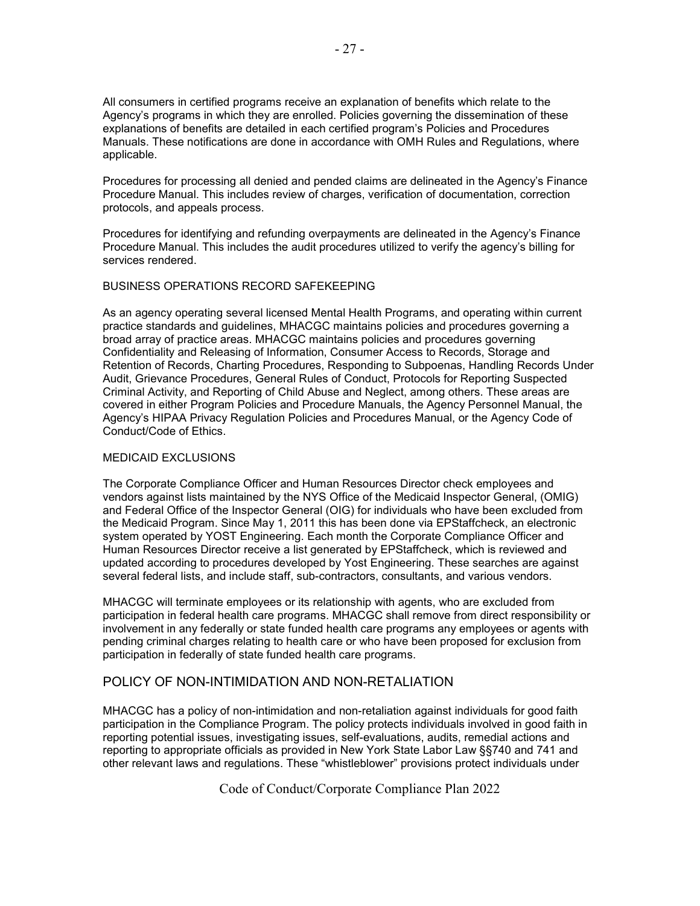All consumers in certified programs receive an explanation of benefits which relate to the Agency's programs in which they are enrolled. Policies governing the dissemination of these explanations of benefits are detailed in each certified program's Policies and Procedures Manuals. These notifications are done in accordance with OMH Rules and Regulations, where applicable.

Procedures for processing all denied and pended claims are delineated in the Agency's Finance Procedure Manual. This includes review of charges, verification of documentation, correction protocols, and appeals process.

Procedures for identifying and refunding overpayments are delineated in the Agency's Finance Procedure Manual. This includes the audit procedures utilized to verify the agency's billing for services rendered.

# BUSINESS OPERATIONS RECORD SAFEKEEPING

As an agency operating several licensed Mental Health Programs, and operating within current practice standards and guidelines, MHACGC maintains policies and procedures governing a broad array of practice areas. MHACGC maintains policies and procedures governing Confidentiality and Releasing of Information, Consumer Access to Records, Storage and Retention of Records, Charting Procedures, Responding to Subpoenas, Handling Records Under Audit, Grievance Procedures, General Rules of Conduct, Protocols for Reporting Suspected Criminal Activity, and Reporting of Child Abuse and Neglect, among others. These areas are covered in either Program Policies and Procedure Manuals, the Agency Personnel Manual, the Agency's HIPAA Privacy Regulation Policies and Procedures Manual, or the Agency Code of Conduct/Code of Ethics.

### MEDICAID EXCLUSIONS

The Corporate Compliance Officer and Human Resources Director check employees and vendors against lists maintained by the NYS Office of the Medicaid Inspector General, (OMIG) and Federal Office of the Inspector General (OIG) for individuals who have been excluded from the Medicaid Program. Since May 1, 2011 this has been done via EPStaffcheck, an electronic system operated by YOST Engineering. Each month the Corporate Compliance Officer and Human Resources Director receive a list generated by EPStaffcheck, which is reviewed and updated according to procedures developed by Yost Engineering. These searches are against several federal lists, and include staff, sub-contractors, consultants, and various vendors.

MHACGC will terminate employees or its relationship with agents, who are excluded from participation in federal health care programs. MHACGC shall remove from direct responsibility or involvement in any federally or state funded health care programs any employees or agents with pending criminal charges relating to health care or who have been proposed for exclusion from participation in federally of state funded health care programs.

# POLICY OF NON-INTIMIDATION AND NON-RETALIATION

MHACGC has a policy of non-intimidation and non-retaliation against individuals for good faith participation in the Compliance Program. The policy protects individuals involved in good faith in reporting potential issues, investigating issues, self-evaluations, audits, remedial actions and reporting to appropriate officials as provided in New York State Labor Law §§740 and 741 and other relevant laws and regulations. These "whistleblower" provisions protect individuals under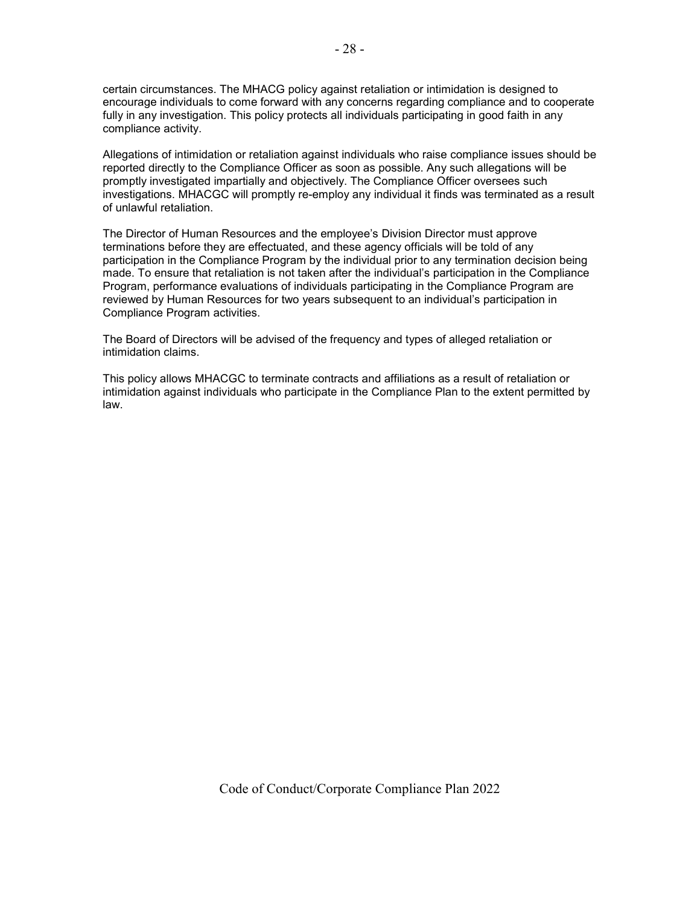certain circumstances. The MHACG policy against retaliation or intimidation is designed to encourage individuals to come forward with any concerns regarding compliance and to cooperate fully in any investigation. This policy protects all individuals participating in good faith in any compliance activity.

Allegations of intimidation or retaliation against individuals who raise compliance issues should be reported directly to the Compliance Officer as soon as possible. Any such allegations will be promptly investigated impartially and objectively. The Compliance Officer oversees such investigations. MHACGC will promptly re-employ any individual it finds was terminated as a result of unlawful retaliation.

The Director of Human Resources and the employee's Division Director must approve terminations before they are effectuated, and these agency officials will be told of any participation in the Compliance Program by the individual prior to any termination decision being made. To ensure that retaliation is not taken after the individual's participation in the Compliance Program, performance evaluations of individuals participating in the Compliance Program are reviewed by Human Resources for two years subsequent to an individual's participation in Compliance Program activities.

The Board of Directors will be advised of the frequency and types of alleged retaliation or intimidation claims.

This policy allows MHACGC to terminate contracts and affiliations as a result of retaliation or intimidation against individuals who participate in the Compliance Plan to the extent permitted by law.